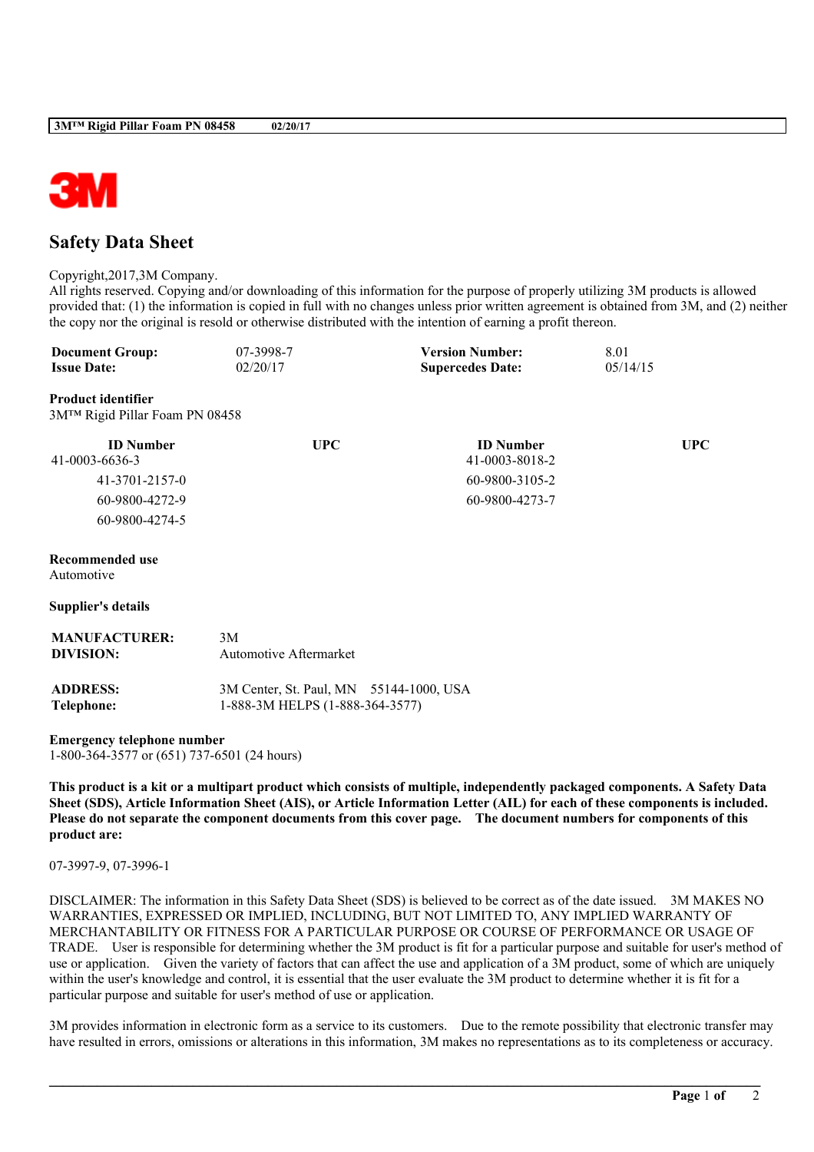

# **Safety Data Sheet**

#### Copyright,2017,3M Company.

All rights reserved. Copying and/or downloading of this information for the purpose of properly utilizing 3M products is allowed provided that: (1) the information is copied in full with no changes unless prior written agreement is obtained from 3M, and (2) neither the copy nor the original is resold or otherwise distributed with the intention of earning a profit thereon.

| <b>Document Group:</b> | 07-3998-7 | <b>Version Number:</b>  | 8.01     |
|------------------------|-----------|-------------------------|----------|
| <b>Issue Date:</b>     | 02/20/17  | <b>Supercedes Date:</b> | 05/14/15 |

### **Product identifier**

3M™ Rigid Pillar Foam PN 08458

| <b>ID</b> Number | <b>UPC</b> | <b>ID</b> Number | UPC |
|------------------|------------|------------------|-----|
| 41-0003-6636-3   |            | 41-0003-8018-2   |     |
| 41-3701-2157-0   |            | 60-9800-3105-2   |     |
| 60-9800-4272-9   |            | 60-9800-4273-7   |     |
| 60-9800-4274-5   |            |                  |     |

### **Recommended use**

Automotive

## **Supplier's details**

| <b>MANUFACTURER:</b><br>DIVISION: | 3M<br><b>Automotive Aftermarket</b>                                        |  |
|-----------------------------------|----------------------------------------------------------------------------|--|
| <b>ADDRESS:</b><br>Telephone:     | 3M Center, St. Paul, MN 55144-1000, USA<br>1-888-3M HELPS (1-888-364-3577) |  |

**Emergency telephone number**

1-800-364-3577 or (651) 737-6501 (24 hours)

This product is a kit or a multipart product which consists of multiple, independently packaged components. A Safety Data Sheet (SDS), Article Information Sheet (AIS), or Article Information Letter (AIL) for each of these components is included. Please do not separate the component documents from this cover page. The document numbers for components of this **product are:**

## 07-3997-9, 07-3996-1

DISCLAIMER: The information in this Safety Data Sheet (SDS) is believed to be correct as of the date issued. 3M MAKES NO WARRANTIES, EXPRESSED OR IMPLIED, INCLUDING, BUT NOT LIMITED TO, ANY IMPLIED WARRANTY OF MERCHANTABILITY OR FITNESS FOR A PARTICULAR PURPOSE OR COURSE OF PERFORMANCE OR USAGE OF TRADE. User is responsible for determining whether the 3M product is fit for a particular purpose and suitable for user's method of use or application. Given the variety of factors that can affect the use and application of a 3M product, some of which are uniquely within the user's knowledge and control, it is essential that the user evaluate the 3M product to determine whether it is fit for a particular purpose and suitable for user's method of use or application.

3M provides information in electronic form as a service to its customers. Due to the remote possibility that electronic transfer may have resulted in errors, omissions or alterations in this information, 3M makes no representations as to its completeness or accuracy.

**\_\_\_\_\_\_\_\_\_\_\_\_\_\_\_\_\_\_\_\_\_\_\_\_\_\_\_\_\_\_\_\_\_\_\_\_\_\_\_\_\_\_\_\_\_\_\_\_\_\_\_\_\_\_\_\_\_\_\_\_\_\_\_\_\_\_\_\_\_\_\_\_\_\_\_\_\_\_\_\_\_\_\_\_\_\_\_\_\_\_\_\_\_\_\_\_\_\_\_\_\_\_\_\_**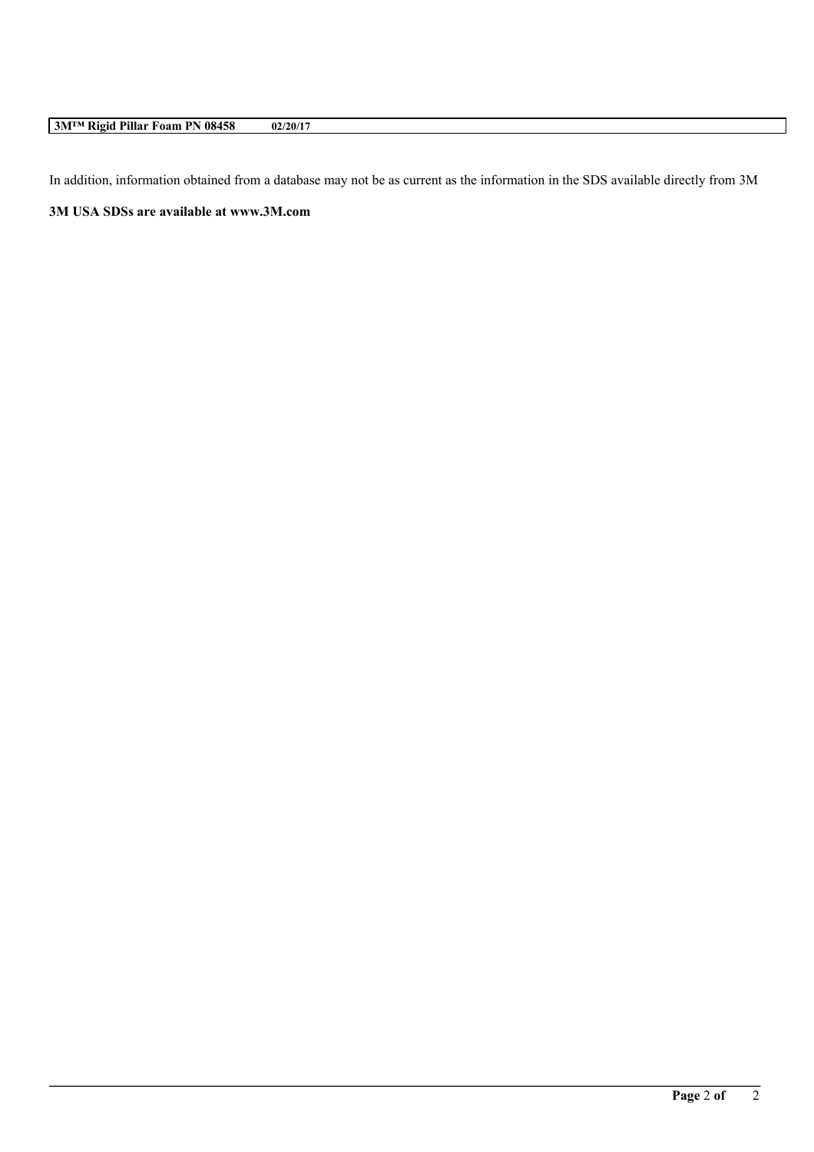# **3M™ Rigid Pillar Foam PN 08458 02/20/17**

In addition, information obtained from a database may not be as current as the information in the SDS available directly from 3M

**\_\_\_\_\_\_\_\_\_\_\_\_\_\_\_\_\_\_\_\_\_\_\_\_\_\_\_\_\_\_\_\_\_\_\_\_\_\_\_\_\_\_\_\_\_\_\_\_\_\_\_\_\_\_\_\_\_\_\_\_\_\_\_\_\_\_\_\_\_\_\_\_\_\_\_\_\_\_\_\_\_\_\_\_\_\_\_\_\_\_\_\_\_\_\_\_\_\_\_\_\_\_\_\_**

**3M USA SDSs are available at www.3M.com**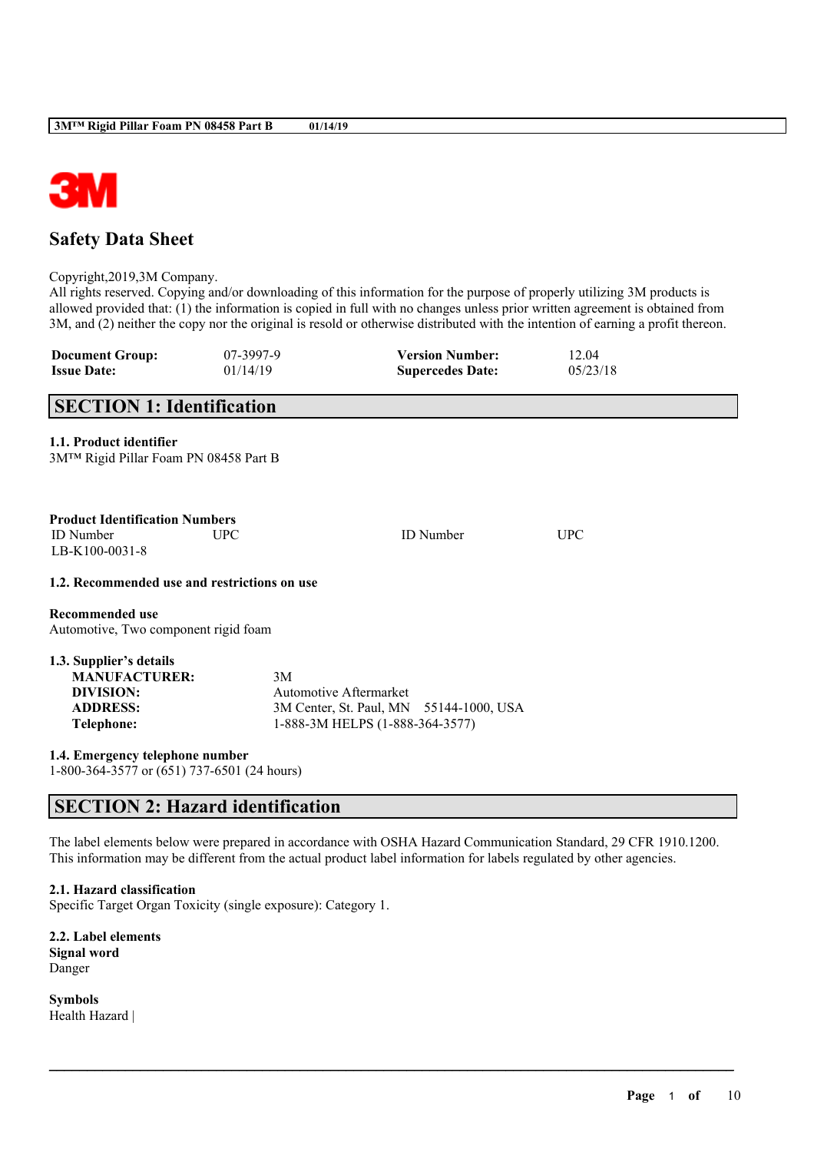

# **Safety Data Sheet**

Copyright,2019,3M Company.

All rights reserved. Copying and/or downloading of this information for the purpose of properly utilizing 3M products is allowed provided that: (1) the information is copied in full with no changes unless prior written agreement is obtained from 3M, and (2) neither the copy nor the original is resold or otherwise distributed with the intention of earning a profit thereon.

| <b>Document Group:</b><br><b>Issue Date:</b>                                                         | 07-3997-9<br>01/14/19 | <b>Version Number:</b><br><b>Supercedes Date:</b>                                                    | 12.04<br>05/23/18 |  |
|------------------------------------------------------------------------------------------------------|-----------------------|------------------------------------------------------------------------------------------------------|-------------------|--|
| <b>SECTION 1: Identification</b>                                                                     |                       |                                                                                                      |                   |  |
| 1.1. Product identifier<br>3M™ Rigid Pillar Foam PN 08458 Part B                                     |                       |                                                                                                      |                   |  |
| <b>Product Identification Numbers</b><br><b>ID</b> Number<br>LB-K100-0031-8                          | <b>UPC</b>            | <b>ID</b> Number                                                                                     | <b>UPC</b>        |  |
| 1.2. Recommended use and restrictions on use                                                         |                       |                                                                                                      |                   |  |
| <b>Recommended use</b><br>Automotive, Two component rigid foam                                       |                       |                                                                                                      |                   |  |
| 1.3. Supplier's details<br><b>MANUFACTURER:</b><br><b>DIVISION:</b><br><b>ADDRESS:</b><br>Telephone: | 3M                    | Automotive Aftermarket<br>3M Center, St. Paul, MN 55144-1000, USA<br>1-888-3M HELPS (1-888-364-3577) |                   |  |
| 1.4. Emergency telephone number<br>1-800-364-3577 or (651) 737-6501 (24 hours)                       |                       |                                                                                                      |                   |  |

# **SECTION 2: Hazard identification**

The label elements below were prepared in accordance with OSHA Hazard Communication Standard, 29 CFR 1910.1200. This information may be different from the actual product label information for labels regulated by other agencies.

 $\mathcal{L}_\mathcal{L} = \mathcal{L}_\mathcal{L} = \mathcal{L}_\mathcal{L} = \mathcal{L}_\mathcal{L} = \mathcal{L}_\mathcal{L} = \mathcal{L}_\mathcal{L} = \mathcal{L}_\mathcal{L} = \mathcal{L}_\mathcal{L} = \mathcal{L}_\mathcal{L} = \mathcal{L}_\mathcal{L} = \mathcal{L}_\mathcal{L} = \mathcal{L}_\mathcal{L} = \mathcal{L}_\mathcal{L} = \mathcal{L}_\mathcal{L} = \mathcal{L}_\mathcal{L} = \mathcal{L}_\mathcal{L} = \mathcal{L}_\mathcal{L}$ 

**2.1. Hazard classification** Specific Target Organ Toxicity (single exposure): Category 1.

**2.2. Label elements Signal word** Danger

**Symbols** Health Hazard |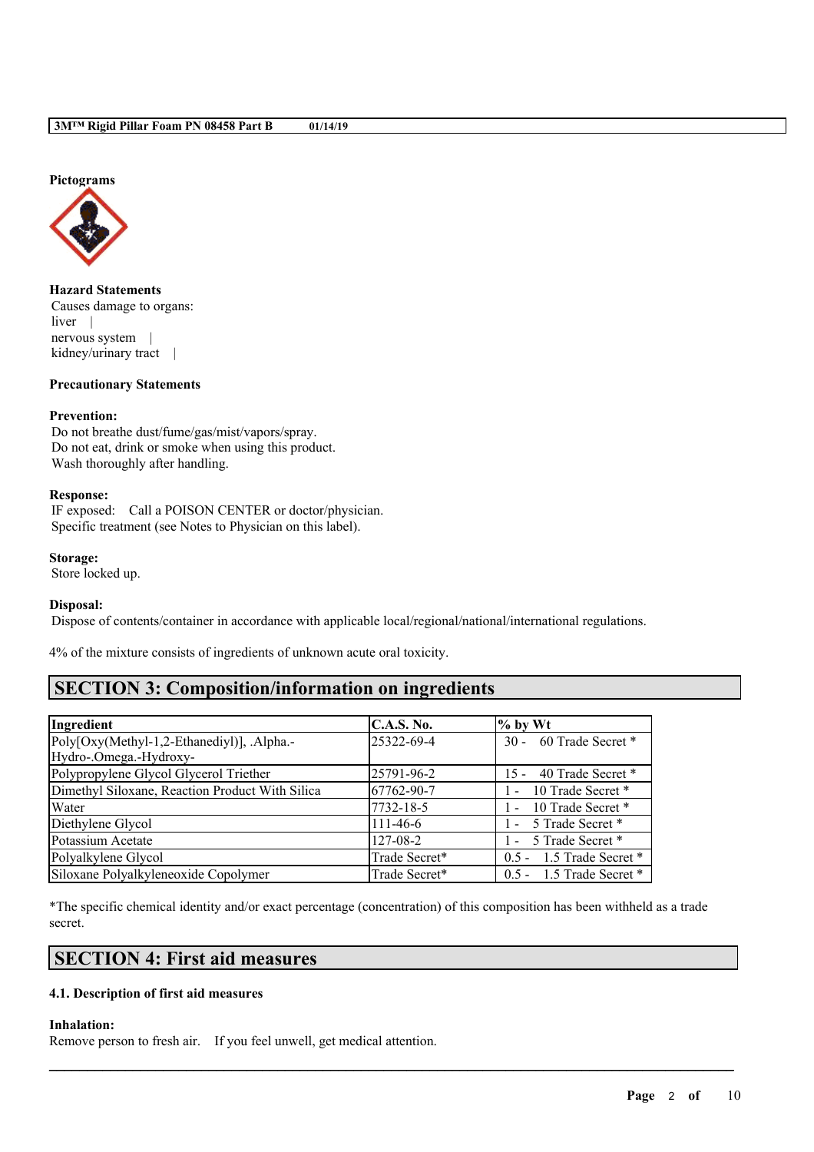#### **Pictograms**



**Hazard Statements** Causes damage to organs: liver nervous system | kidney/urinary tract |

#### **Precautionary Statements**

### **Prevention:**

Do not breathe dust/fume/gas/mist/vapors/spray. Do not eat, drink or smoke when using this product. Wash thoroughly after handling.

#### **Response:**

IF exposed: Call a POISON CENTER or doctor/physician. Specific treatment (see Notes to Physician on this label).

**Storage:** Store locked up.

## **Disposal:**

Dispose of contents/container in accordance with applicable local/regional/national/international regulations.

4% of the mixture consists of ingredients of unknown acute oral toxicity.

# **SECTION 3: Composition/information on ingredients**

| Ingredient                                      | <b>C.A.S. No.</b> | $%$ by Wt                   |
|-------------------------------------------------|-------------------|-----------------------------|
| Poly[Oxy(Methyl-1,2-Ethanediyl)], .Alpha.-      | 25322-69-4        | 30 - 60 Trade Secret *      |
| Hydro-.Omega.-Hydroxy-                          |                   |                             |
| Polypropylene Glycol Glycerol Triether          | 25791-96-2        | 40 Trade Secret *<br>$15 -$ |
| Dimethyl Siloxane, Reaction Product With Silica | 67762-90-7        | 10 Trade Secret *<br>$\sim$ |
| Water                                           | 7732-18-5         | 10 Trade Secret *<br>$\sim$ |
| Diethylene Glycol                               | $111-46-6$        | - 5 Trade Secret *          |
| Potassium Acetate                               | $127 - 08 - 2$    | - 5 Trade Secret *          |
| Polyalkylene Glycol                             | Trade Secret*     | $0.5 - 1.5$ Trade Secret *  |
| Siloxane Polyalkyleneoxide Copolymer            | Trade Secret*     | $0.5 - 1.5$ Trade Secret *  |

\*The specific chemical identity and/or exact percentage (concentration) of this composition has been withheld as a trade secret.

 $\mathcal{L}_\mathcal{L} = \mathcal{L}_\mathcal{L} = \mathcal{L}_\mathcal{L} = \mathcal{L}_\mathcal{L} = \mathcal{L}_\mathcal{L} = \mathcal{L}_\mathcal{L} = \mathcal{L}_\mathcal{L} = \mathcal{L}_\mathcal{L} = \mathcal{L}_\mathcal{L} = \mathcal{L}_\mathcal{L} = \mathcal{L}_\mathcal{L} = \mathcal{L}_\mathcal{L} = \mathcal{L}_\mathcal{L} = \mathcal{L}_\mathcal{L} = \mathcal{L}_\mathcal{L} = \mathcal{L}_\mathcal{L} = \mathcal{L}_\mathcal{L}$ 

# **SECTION 4: First aid measures**

## **4.1. Description of first aid measures**

#### **Inhalation:**

Remove person to fresh air. If you feel unwell, get medical attention.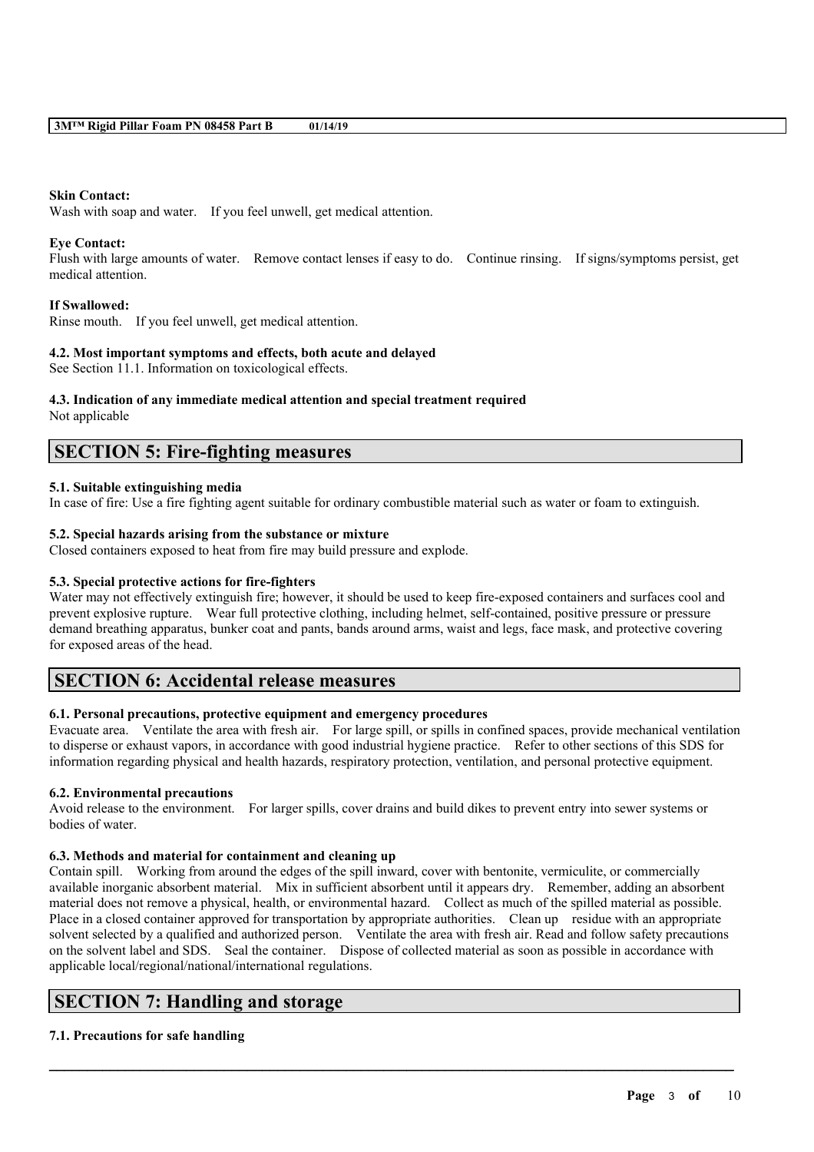## **Skin Contact:**

Wash with soap and water. If you feel unwell, get medical attention.

### **Eye Contact:**

Flush with large amounts of water. Remove contact lenses if easy to do. Continue rinsing. If signs/symptoms persist, get medical attention.

### **If Swallowed:**

Rinse mouth. If you feel unwell, get medical attention.

### **4.2. Most important symptoms and effects, both acute and delayed**

See Section 11.1. Information on toxicological effects.

### **4.3. Indication of any immediate medical attention and special treatment required**

Not applicable

## **SECTION 5: Fire-fighting measures**

## **5.1. Suitable extinguishing media**

In case of fire: Use a fire fighting agent suitable for ordinary combustible material such as water or foam to extinguish.

## **5.2. Special hazards arising from the substance or mixture**

Closed containers exposed to heat from fire may build pressure and explode.

### **5.3. Special protective actions for fire-fighters**

Water may not effectively extinguish fire; however, it should be used to keep fire-exposed containers and surfaces cool and prevent explosive rupture. Wear full protective clothing, including helmet, self-contained, positive pressure or pressure demand breathing apparatus, bunker coat and pants, bands around arms, waist and legs, face mask, and protective covering for exposed areas of the head.

## **SECTION 6: Accidental release measures**

## **6.1. Personal precautions, protective equipment and emergency procedures**

Evacuate area. Ventilate the area with fresh air. For large spill, or spills in confined spaces, provide mechanical ventilation to disperse or exhaust vapors, in accordance with good industrial hygiene practice. Refer to other sections of this SDS for information regarding physical and health hazards, respiratory protection, ventilation, and personal protective equipment.

## **6.2. Environmental precautions**

Avoid release to the environment. For larger spills, cover drains and build dikes to prevent entry into sewer systems or bodies of water.

### **6.3. Methods and material for containment and cleaning up**

Contain spill. Working from around the edges of the spill inward, cover with bentonite, vermiculite, or commercially available inorganic absorbent material. Mix in sufficient absorbent until it appears dry. Remember, adding an absorbent material does not remove a physical, health, or environmental hazard. Collect as much of the spilled material as possible. Place in a closed container approved for transportation by appropriate authorities. Clean up residue with an appropriate solvent selected by a qualified and authorized person. Ventilate the area with fresh air. Read and follow safety precautions on the solvent label and SDS. Seal the container. Dispose of collected material as soon as possible in accordance with applicable local/regional/national/international regulations.

 $\mathcal{L}_\mathcal{L} = \mathcal{L}_\mathcal{L} = \mathcal{L}_\mathcal{L} = \mathcal{L}_\mathcal{L} = \mathcal{L}_\mathcal{L} = \mathcal{L}_\mathcal{L} = \mathcal{L}_\mathcal{L} = \mathcal{L}_\mathcal{L} = \mathcal{L}_\mathcal{L} = \mathcal{L}_\mathcal{L} = \mathcal{L}_\mathcal{L} = \mathcal{L}_\mathcal{L} = \mathcal{L}_\mathcal{L} = \mathcal{L}_\mathcal{L} = \mathcal{L}_\mathcal{L} = \mathcal{L}_\mathcal{L} = \mathcal{L}_\mathcal{L}$ 

## **SECTION 7: Handling and storage**

## **7.1. Precautions for safe handling**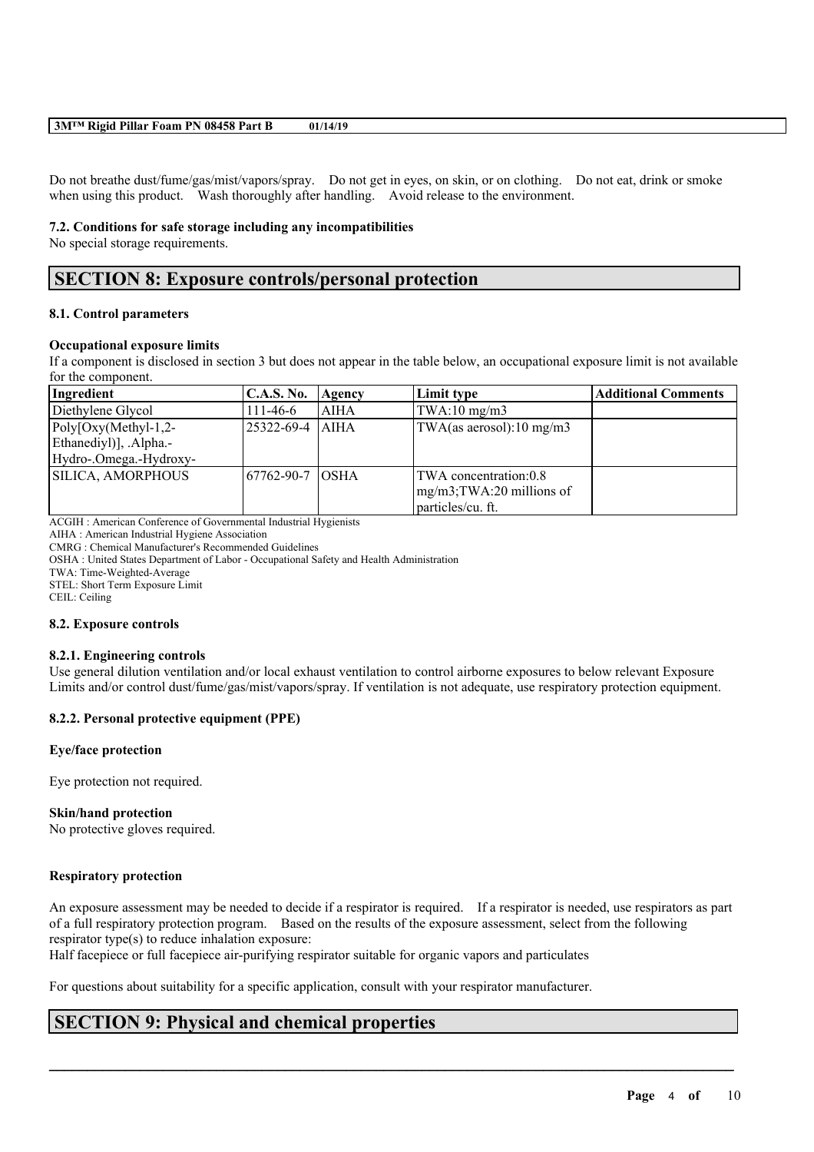#### **3M™ Rigid Pillar Foam PN 08458 Part B 01/14/19**

Do not breathe dust/fume/gas/mist/vapors/spray. Do not get in eyes, on skin, or on clothing. Do not eat, drink or smoke when using this product. Wash thoroughly after handling. Avoid release to the environment.

#### **7.2. Conditions for safe storage including any incompatibilities**

No special storage requirements.

# **SECTION 8: Exposure controls/personal protection**

### **8.1. Control parameters**

#### **Occupational exposure limits**

If a component is disclosed in section 3 but does not appear in the table below, an occupational exposure limit is not available for the component.

| Ingredient                                                                 | <b>C.A.S. No.</b> | Agency | Limit type                                                                  | <b>Additional Comments</b> |
|----------------------------------------------------------------------------|-------------------|--------|-----------------------------------------------------------------------------|----------------------------|
| Diethylene Glycol                                                          | $111-46-6$        | AIHA   | TWA:10 mg/m3                                                                |                            |
| $Poly[Oxy(Methyl-1,2-$<br>Ethanediyl)], .Alpha.-<br>Hydro-.Omega.-Hydroxy- | 125322-69-4  AIHA |        | TWA(as aerosol):10 mg/m3                                                    |                            |
| SILICA, AMORPHOUS                                                          | 167762-90-7 IOSHA |        | TWA concentration:0.8<br>$mg/m3$ ; TWA: 20 millions of<br>particles/cu. ft. |                            |

ACGIH : American Conference of Governmental Industrial Hygienists

AIHA : American Industrial Hygiene Association

CMRG : Chemical Manufacturer's Recommended Guidelines

OSHA : United States Department of Labor - Occupational Safety and Health Administration

TWA: Time-Weighted-Average

STEL: Short Term Exposure Limit

CEIL: Ceiling

#### **8.2. Exposure controls**

#### **8.2.1. Engineering controls**

Use general dilution ventilation and/or local exhaust ventilation to control airborne exposures to below relevant Exposure Limits and/or control dust/fume/gas/mist/vapors/spray. If ventilation is not adequate, use respiratory protection equipment.

#### **8.2.2. Personal protective equipment (PPE)**

#### **Eye/face protection**

Eye protection not required.

#### **Skin/hand protection**

No protective gloves required.

#### **Respiratory protection**

An exposure assessment may be needed to decide if a respirator is required. If a respirator is needed, use respirators as part of a full respiratory protection program. Based on the results of the exposure assessment, select from the following respirator type(s) to reduce inhalation exposure:

 $\mathcal{L}_\mathcal{L} = \mathcal{L}_\mathcal{L} = \mathcal{L}_\mathcal{L} = \mathcal{L}_\mathcal{L} = \mathcal{L}_\mathcal{L} = \mathcal{L}_\mathcal{L} = \mathcal{L}_\mathcal{L} = \mathcal{L}_\mathcal{L} = \mathcal{L}_\mathcal{L} = \mathcal{L}_\mathcal{L} = \mathcal{L}_\mathcal{L} = \mathcal{L}_\mathcal{L} = \mathcal{L}_\mathcal{L} = \mathcal{L}_\mathcal{L} = \mathcal{L}_\mathcal{L} = \mathcal{L}_\mathcal{L} = \mathcal{L}_\mathcal{L}$ 

Half facepiece or full facepiece air-purifying respirator suitable for organic vapors and particulates

For questions about suitability for a specific application, consult with your respirator manufacturer.

## **SECTION 9: Physical and chemical properties**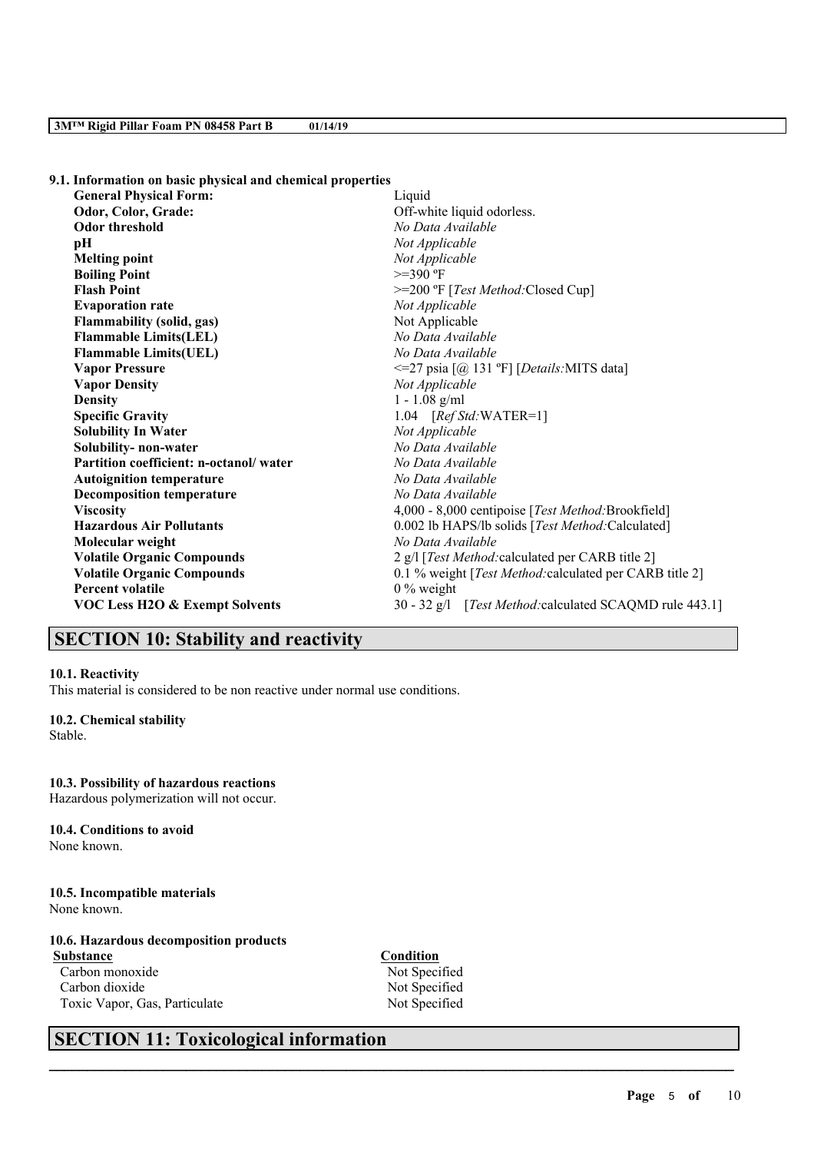**9.1. Information on basic physical and chemical properties**

| <b>General Physical Form:</b>             | Liquid                                                  |  |  |  |
|-------------------------------------------|---------------------------------------------------------|--|--|--|
| Odor, Color, Grade:                       | Off-white liquid odorless.                              |  |  |  |
| <b>Odor threshold</b>                     | No Data Available                                       |  |  |  |
| рH                                        | Not Applicable                                          |  |  |  |
| <b>Melting point</b>                      | Not Applicable                                          |  |  |  |
| <b>Boiling Point</b>                      | $>=390$ °F                                              |  |  |  |
| <b>Flash Point</b>                        | >=200 °F [Test Method: Closed Cup]                      |  |  |  |
| <b>Evaporation rate</b>                   | Not Applicable                                          |  |  |  |
| Flammability (solid, gas)                 | Not Applicable                                          |  |  |  |
| <b>Flammable Limits(LEL)</b>              | No Data Available                                       |  |  |  |
| <b>Flammable Limits(UEL)</b>              | No Data Available                                       |  |  |  |
| <b>Vapor Pressure</b>                     | $\leq$ =27 psia [@ 131 °F] [Details:MITS data]          |  |  |  |
| <b>Vapor Density</b>                      | Not Applicable                                          |  |  |  |
| <b>Density</b>                            | $1 - 1.08$ g/ml                                         |  |  |  |
| <b>Specific Gravity</b>                   | 1.04 $[RefStd:WATER=1]$                                 |  |  |  |
| <b>Solubility In Water</b>                | Not Applicable                                          |  |  |  |
| Solubility- non-water                     | No Data Available                                       |  |  |  |
| Partition coefficient: n-octanol/water    | No Data Available                                       |  |  |  |
| <b>Autoignition temperature</b>           | No Data Available                                       |  |  |  |
| <b>Decomposition temperature</b>          | No Data Available                                       |  |  |  |
| <b>Viscosity</b>                          | 4,000 - 8,000 centipoise [Test Method: Brookfield]      |  |  |  |
| <b>Hazardous Air Pollutants</b>           | 0.002 lb HAPS/lb solids [Test Method:Calculated]        |  |  |  |
| Molecular weight                          | No Data Available                                       |  |  |  |
| <b>Volatile Organic Compounds</b>         | 2 g/l [Test Method: calculated per CARB title 2]        |  |  |  |
| <b>Volatile Organic Compounds</b>         | 0.1 % weight [Test Method: calculated per CARB title 2] |  |  |  |
| <b>Percent volatile</b>                   | $0\%$ weight                                            |  |  |  |
| <b>VOC Less H2O &amp; Exempt Solvents</b> | 30 - 32 g/l [Test Method: calculated SCAQMD rule 443.1] |  |  |  |

# **SECTION 10: Stability and reactivity**

#### **10.1. Reactivity**

This material is considered to be non reactive under normal use conditions.

#### **10.2. Chemical stability** Stable.

**10.3. Possibility of hazardous reactions** Hazardous polymerization will not occur.

# **10.4. Conditions to avoid**

None known.

**10.5. Incompatible materials** None known.

## **10.6. Hazardous decomposition products**

**Substance Condition** Carbon monoxide Not Specified Carbon dioxide Not Specified Toxic Vapor, Gas, Particulate Not Specified

 $\mathcal{L}_\mathcal{L} = \mathcal{L}_\mathcal{L} = \mathcal{L}_\mathcal{L} = \mathcal{L}_\mathcal{L} = \mathcal{L}_\mathcal{L} = \mathcal{L}_\mathcal{L} = \mathcal{L}_\mathcal{L} = \mathcal{L}_\mathcal{L} = \mathcal{L}_\mathcal{L} = \mathcal{L}_\mathcal{L} = \mathcal{L}_\mathcal{L} = \mathcal{L}_\mathcal{L} = \mathcal{L}_\mathcal{L} = \mathcal{L}_\mathcal{L} = \mathcal{L}_\mathcal{L} = \mathcal{L}_\mathcal{L} = \mathcal{L}_\mathcal{L}$ 

# **SECTION 11: Toxicological information**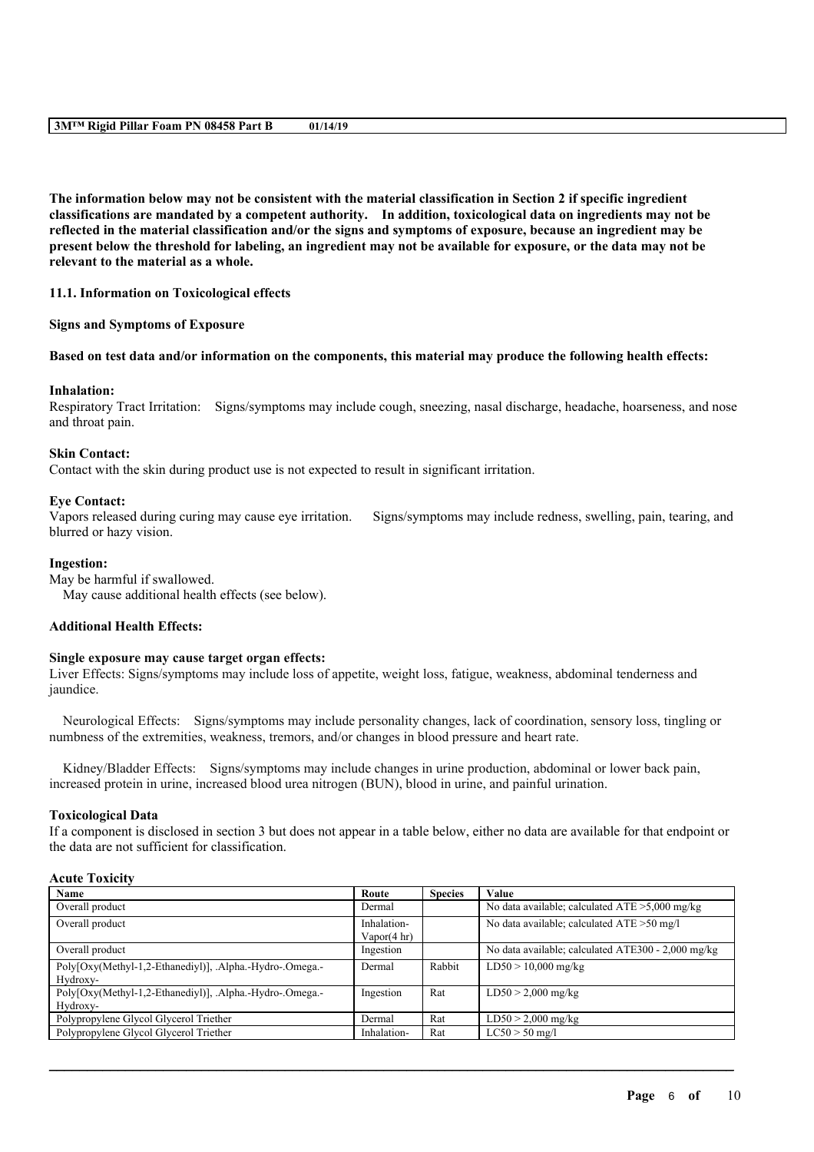#### **3M™ Rigid Pillar Foam PN 08458 Part B 01/14/19**

The information below may not be consistent with the material classification in Section 2 if specific ingredient **classifications are mandated by a competent authority. In addition, toxicological data on ingredients may not be** reflected in the material classification and/or the signs and symptoms of exposure, because an ingredient may be present below the threshold for labeling, an ingredient may not be available for exposure, or the data may not be **relevant to the material as a whole.**

### **11.1. Information on Toxicological effects**

### **Signs and Symptoms of Exposure**

### Based on test data and/or information on the components, this material may produce the following health effects:

### **Inhalation:**

Respiratory Tract Irritation: Signs/symptoms may include cough, sneezing, nasal discharge, headache, hoarseness, and nose and throat pain.

### **Skin Contact:**

Contact with the skin during product use is not expected to result in significant irritation.

### **Eye Contact:**

Vapors released during curing may cause eye irritation. Signs/symptoms may include redness, swelling, pain, tearing, and blurred or hazy vision.

#### **Ingestion:**

May be harmful if swallowed.

May cause additional health effects (see below).

## **Additional Health Effects:**

#### **Single exposure may cause target organ effects:**

Liver Effects: Signs/symptoms may include loss of appetite, weight loss, fatigue, weakness, abdominal tenderness and jaundice.

Neurological Effects: Signs/symptoms may include personality changes, lack of coordination, sensory loss, tingling or numbness of the extremities, weakness, tremors, and/or changes in blood pressure and heart rate.

Kidney/Bladder Effects: Signs/symptoms may include changes in urine production, abdominal or lower back pain, increased protein in urine, increased blood urea nitrogen (BUN), blood in urine, and painful urination.

### **Toxicological Data**

If a component is disclosed in section 3 but does not appear in a table below, either no data are available for that endpoint or the data are not sufficient for classification.

## **Acute Toxicity**

| Name                                                     | Route                  | <b>Species</b> | Value                                              |
|----------------------------------------------------------|------------------------|----------------|----------------------------------------------------|
| Overall product                                          | Dermal                 |                | No data available; calculated ATE >5,000 mg/kg     |
| Overall product                                          | Inhalation-            |                | No data available; calculated ATE > 50 mg/l        |
|                                                          | Vapor $(4 \text{ hr})$ |                |                                                    |
| Overall product                                          | Ingestion              |                | No data available; calculated ATE300 - 2,000 mg/kg |
| Poly[Oxy(Methyl-1,2-Ethanediyl)], .Alpha.-Hydro-.Omega.- | Dermal                 | Rabbit         | $LD50 > 10,000$ mg/kg                              |
| Hydroxy-                                                 |                        |                |                                                    |
| Poly[Oxy(Methyl-1,2-Ethanediyl)], .Alpha.-Hydro-.Omega.- | Ingestion              | Rat            | $LD50 > 2,000$ mg/kg                               |
| Hydroxy-                                                 |                        |                |                                                    |
| Polypropylene Glycol Glycerol Triether                   | Dermal                 | Rat            | $LD50 > 2,000$ mg/kg                               |
| Polypropylene Glycol Glycerol Triether                   | Inhalation-            | Rat            | $LC50 > 50$ mg/l                                   |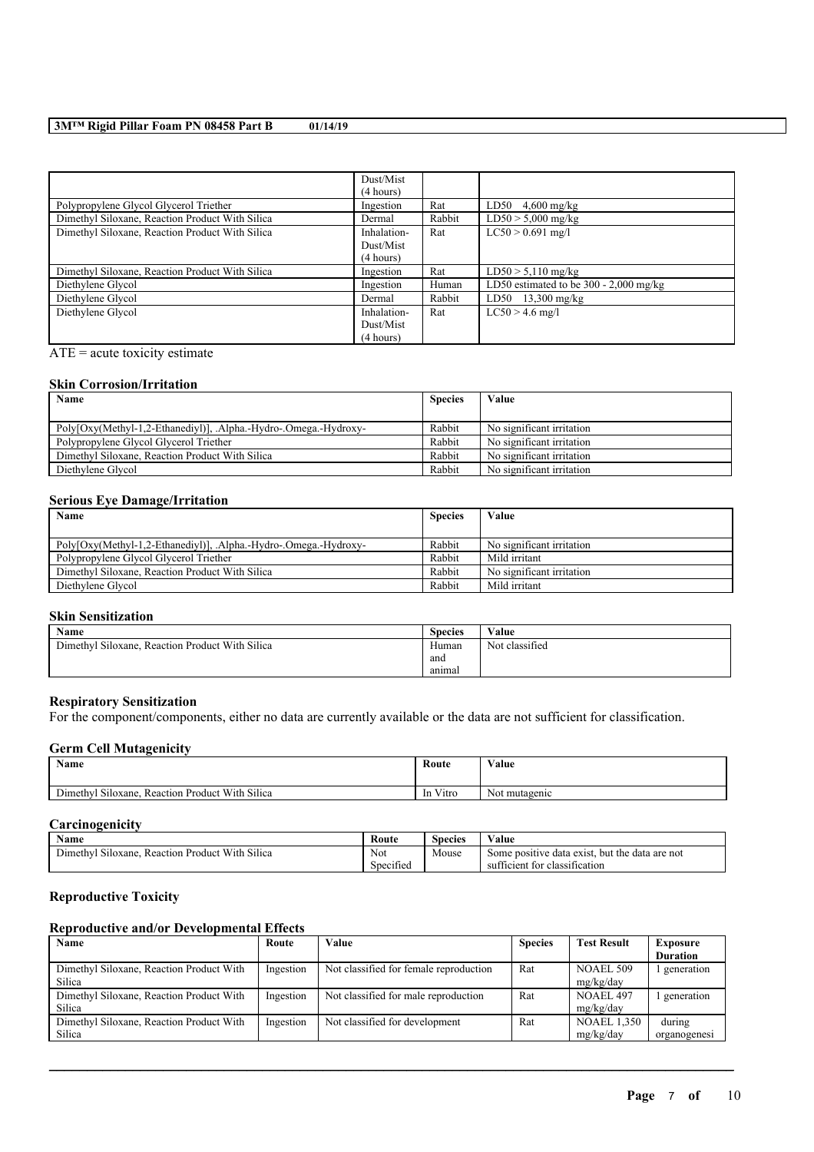## **3M™ Rigid Pillar Foam PN 08458 Part B 01/14/19**

|                                                 | Dust/Mist   |        |                                          |
|-------------------------------------------------|-------------|--------|------------------------------------------|
|                                                 | (4 hours)   |        |                                          |
| Polypropylene Glycol Glycerol Triether          | Ingestion   | Rat    | $LD50 \quad 4,600 \; mg/kg$              |
| Dimethyl Siloxane, Reaction Product With Silica | Dermal      | Rabbit | $LD50 > 5,000$ mg/kg                     |
| Dimethyl Siloxane, Reaction Product With Silica | Inhalation- | Rat    | $LC50 > 0.691$ mg/l                      |
|                                                 | Dust/Mist   |        |                                          |
|                                                 | (4 hours)   |        |                                          |
| Dimethyl Siloxane, Reaction Product With Silica | Ingestion   | Rat    | $LD50 > 5,110$ mg/kg                     |
| Diethylene Glycol                               | Ingestion   | Human  | LD50 estimated to be $300 - 2,000$ mg/kg |
| Diethylene Glycol                               | Dermal      | Rabbit | $LD50$ 13,300 mg/kg                      |
| Diethylene Glycol                               | Inhalation- | Rat    | $LC50 > 4.6$ mg/l                        |
|                                                 | Dust/Mist   |        |                                          |
|                                                 | (4 hours)   |        |                                          |

 $ATE = acute$  toxicity estimate

### **Skin Corrosion/Irritation**

| Name<br><b>Species</b>                                           |        | Value                     |
|------------------------------------------------------------------|--------|---------------------------|
|                                                                  |        |                           |
| Poly[Oxy(Methyl-1,2-Ethanediyl)], .Alpha.-Hydro-.Omega.-Hydroxy- | Rabbit | No significant irritation |
| Polypropylene Glycol Glycerol Triether                           | Rabbit | No significant irritation |
| Dimethyl Siloxane, Reaction Product With Silica                  | Rabbit | No significant irritation |
| Diethylene Glycol                                                | Rabbit | No significant irritation |

### **Serious Eye Damage/Irritation**

| Name                                                            | <b>Species</b> | Value                     |
|-----------------------------------------------------------------|----------------|---------------------------|
|                                                                 |                |                           |
| Poly[Oxy(Methyl-1,2-Ethanediyl)], Alpha.-Hydro-.Omega.-Hydroxy- | Rabbit         | No significant irritation |
| Polypropylene Glycol Glycerol Triether                          | Rabbit         | Mild irritant             |
| Dimethyl Siloxane, Reaction Product With Silica                 | Rabbit         | No significant irritation |
| Diethylene Glycol                                               | Rabbit         | Mild irritant             |

## **Skin Sensitization**

| <b>Name</b>                                        | <b>Species</b> | Value          |
|----------------------------------------------------|----------------|----------------|
| Reaction Product With Silica<br>Dimethyl Siloxane. | Human          | Not classified |
|                                                    | and            |                |
|                                                    | anımal         |                |

### **Respiratory Sensitization**

For the component/components, either no data are currently available or the data are not sufficient for classification.

### **Germ Cell Mutagenicity**

| <b>BY</b><br>Name                                                    | Route                   | Value         |
|----------------------------------------------------------------------|-------------------------|---------------|
| Product With Silica<br>' Siloxane.<br>$\sim$<br>Dimethyl<br>Reaction | Vitro<br><sub>1</sub> n | Not mutagenic |

## **Carcinogenicity**

| Name                                                                              | Koute     | Species | ⁄ alue                                                        |
|-----------------------------------------------------------------------------------|-----------|---------|---------------------------------------------------------------|
| $\sim$<br>$\sim$<br>Product With<br>. Silica<br>Dimethv.<br>Reaction<br>Siloxane. | Not       | Mouse   | e data are not<br>: data exist<br>but the<br>positive<br>Some |
|                                                                                   | Specified |         | ficient for c<br>classification<br>sut                        |

## **Reproductive Toxicity**

## **Reproductive and/or Developmental Effects**

| <b>Name</b>                              | Route     | Value                                  | <b>Species</b> | <b>Test Result</b> | <b>Exposure</b> |
|------------------------------------------|-----------|----------------------------------------|----------------|--------------------|-----------------|
|                                          |           |                                        |                |                    | <b>Duration</b> |
| Dimethyl Siloxane, Reaction Product With | Ingestion | Not classified for female reproduction | Rat            | NOAEL 509          | l generation    |
| Silica                                   |           |                                        |                | mg/kg/day          |                 |
| Dimethyl Siloxane, Reaction Product With | Ingestion | Not classified for male reproduction   | Rat            | NOAEL 497          | l generation    |
| Silica                                   |           |                                        |                | mg/kg/day          |                 |
| Dimethyl Siloxane, Reaction Product With | Ingestion | Not classified for development         | Rat            | <b>NOAEL 1.350</b> | during          |
| Silica                                   |           |                                        |                | mg/kg/day          | organogenesi    |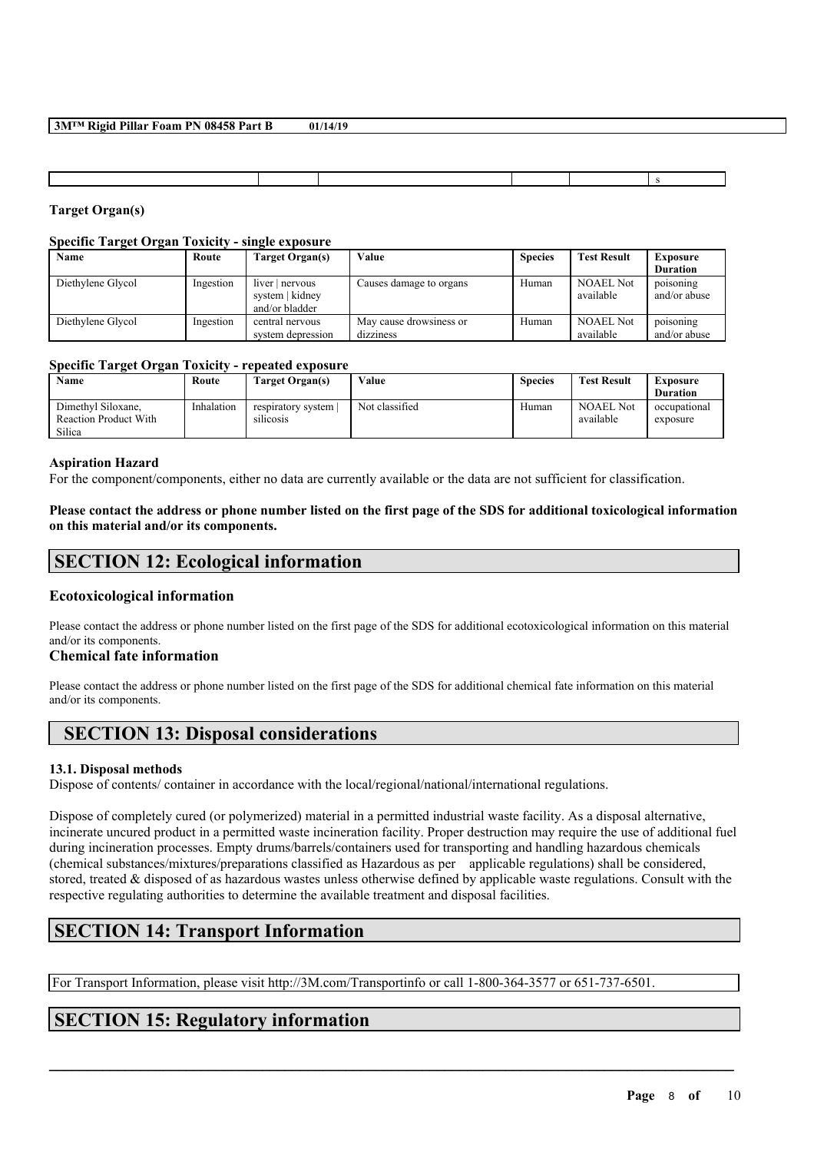| 3M™ Rigid Pillar Foam PN 08458 Part B | 01/14/19 |
|---------------------------------------|----------|
|---------------------------------------|----------|

## **Target Organ(s)**

## **Specific Target Organ Toxicity - single exposure**

| Name              | Route     | Target Organ(s)                                      | Value                   | <b>Species</b> | <b>Test Result</b>            | <b>Exposure</b>           |
|-------------------|-----------|------------------------------------------------------|-------------------------|----------------|-------------------------------|---------------------------|
|                   |           |                                                      |                         |                |                               | <b>Duration</b>           |
| Diethylene Glycol | Ingestion | $liver$ nervous<br>system   kidney<br>and/or bladder | Causes damage to organs | Human          | <b>NOAEL Not</b><br>available | poisoning<br>and/or abuse |
| Diethylene Glycol | Ingestion | central nervous                                      | May cause drowsiness or | Human          | <b>NOAEL Not</b>              | poisoning                 |
|                   |           | system depression                                    | dizziness               |                | available                     | and/or abuse              |

## **Specific Target Organ Toxicity - repeated exposure**

| Name                                                         | Route      | Target Organ(s)                 | Value          | <b>Species</b> | <b>Test Result</b>            | Exposure<br><b>Duration</b> |
|--------------------------------------------------------------|------------|---------------------------------|----------------|----------------|-------------------------------|-----------------------------|
| Dimethyl Siloxane.<br><b>Reaction Product With</b><br>Silica | Inhalation | respiratory system<br>silicosis | Not classified | Human          | <b>NOAEL Not</b><br>available | occupational<br>exposure    |

## **Aspiration Hazard**

For the component/components, either no data are currently available or the data are not sufficient for classification.

Please contact the address or phone number listed on the first page of the SDS for additional toxicological information **on this material and/or its components.**

## **SECTION 12: Ecological information**

## **Ecotoxicological information**

Please contact the address or phone number listed on the first page of the SDS for additional ecotoxicological information on this material and/or its components.

## **Chemical fate information**

Please contact the address or phone number listed on the first page of the SDS for additional chemical fate information on this material and/or its components.

## **SECTION 13: Disposal considerations**

## **13.1. Disposal methods**

Dispose of contents/ container in accordance with the local/regional/national/international regulations.

Dispose of completely cured (or polymerized) material in a permitted industrial waste facility. As a disposal alternative, incinerate uncured product in a permitted waste incineration facility. Proper destruction may require the use of additional fuel during incineration processes. Empty drums/barrels/containers used for transporting and handling hazardous chemicals (chemical substances/mixtures/preparations classified as Hazardous as per applicable regulations) shall be considered, stored, treated & disposed of as hazardous wastes unless otherwise defined by applicable waste regulations. Consult with the respective regulating authorities to determine the available treatment and disposal facilities.

 $\mathcal{L}_\mathcal{L} = \mathcal{L}_\mathcal{L} = \mathcal{L}_\mathcal{L} = \mathcal{L}_\mathcal{L} = \mathcal{L}_\mathcal{L} = \mathcal{L}_\mathcal{L} = \mathcal{L}_\mathcal{L} = \mathcal{L}_\mathcal{L} = \mathcal{L}_\mathcal{L} = \mathcal{L}_\mathcal{L} = \mathcal{L}_\mathcal{L} = \mathcal{L}_\mathcal{L} = \mathcal{L}_\mathcal{L} = \mathcal{L}_\mathcal{L} = \mathcal{L}_\mathcal{L} = \mathcal{L}_\mathcal{L} = \mathcal{L}_\mathcal{L}$ 

# **SECTION 14: Transport Information**

For Transport Information, please visit http://3M.com/Transportinfo or call 1-800-364-3577 or 651-737-6501.

# **SECTION 15: Regulatory information**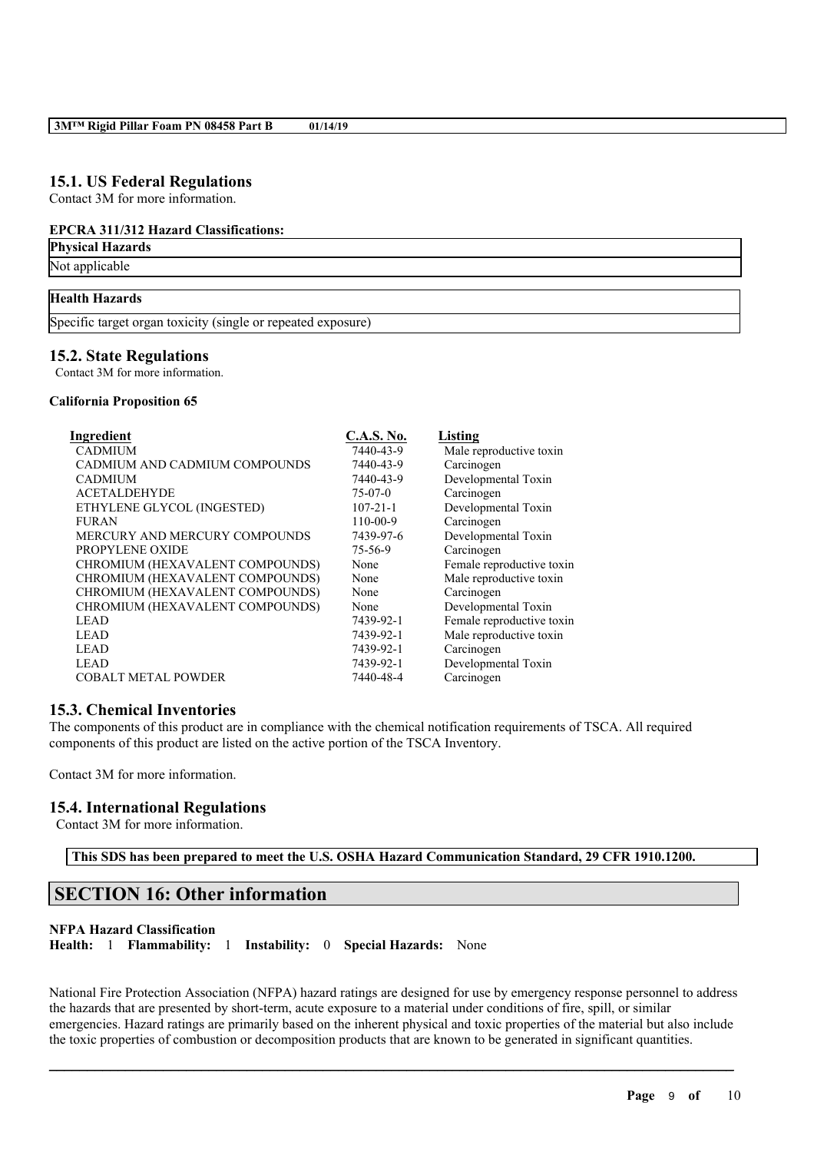## **15.1. US Federal Regulations**

Contact 3M for more information.

### **EPCRA 311/312 Hazard Classifications:**

**Physical Hazards**

Not applicable

## **Health Hazards**

Specific target organ toxicity (single or repeated exposure)

## **15.2. State Regulations**

Contact 3M for more information.

#### **California Proposition 65**

| Ingredient                      | <b>C.A.S. No.</b> | Listing                   |
|---------------------------------|-------------------|---------------------------|
| <b>CADMIUM</b>                  | 7440-43-9         | Male reproductive toxin   |
| CADMIUM AND CADMIUM COMPOUNDS   | 7440-43-9         | Carcinogen                |
| <b>CADMIUM</b>                  | 7440-43-9         | Developmental Toxin       |
| <b>ACETALDEHYDE</b>             | $75-07-0$         | Carcinogen                |
| ETHYLENE GLYCOL (INGESTED)      | $107 - 21 - 1$    | Developmental Toxin       |
| <b>FURAN</b>                    | $110 - 00 - 9$    | Carcinogen                |
| MERCURY AND MERCURY COMPOUNDS   | 7439-97-6         | Developmental Toxin       |
| PROPYLENE OXIDE                 | 75-56-9           | Carcinogen                |
| CHROMIUM (HEXAVALENT COMPOUNDS) | None              | Female reproductive toxin |
| CHROMIUM (HEXAVALENT COMPOUNDS) | None              | Male reproductive toxin   |
| CHROMIUM (HEXAVALENT COMPOUNDS) | None              | Carcinogen                |
| CHROMIUM (HEXAVALENT COMPOUNDS) | None              | Developmental Toxin       |
| <b>LEAD</b>                     | 7439-92-1         | Female reproductive toxin |
| <b>LEAD</b>                     | 7439-92-1         | Male reproductive toxin   |
| <b>LEAD</b>                     | 7439-92-1         | Carcinogen                |
| <b>LEAD</b>                     | 7439-92-1         | Developmental Toxin       |
| <b>COBALT METAL POWDER</b>      | 7440-48-4         | Carcinogen                |

## **15.3. Chemical Inventories**

The components of this product are in compliance with the chemical notification requirements of TSCA. All required components of this product are listed on the active portion of the TSCA Inventory.

Contact 3M for more information.

## **15.4. International Regulations**

Contact 3M for more information.

**This SDS has been prepared to meet the U.S. OSHA Hazard Communication Standard, 29 CFR 1910.1200.**

# **SECTION 16: Other information**

#### **NFPA Hazard Classification**

**Health:** 1 **Flammability:** 1 **Instability:** 0 **Special Hazards:** None

National Fire Protection Association (NFPA) hazard ratings are designed for use by emergency response personnel to address the hazards that are presented by short-term, acute exposure to a material under conditions of fire, spill, or similar emergencies. Hazard ratings are primarily based on the inherent physical and toxic properties of the material but also include the toxic properties of combustion or decomposition products that are known to be generated in significant quantities.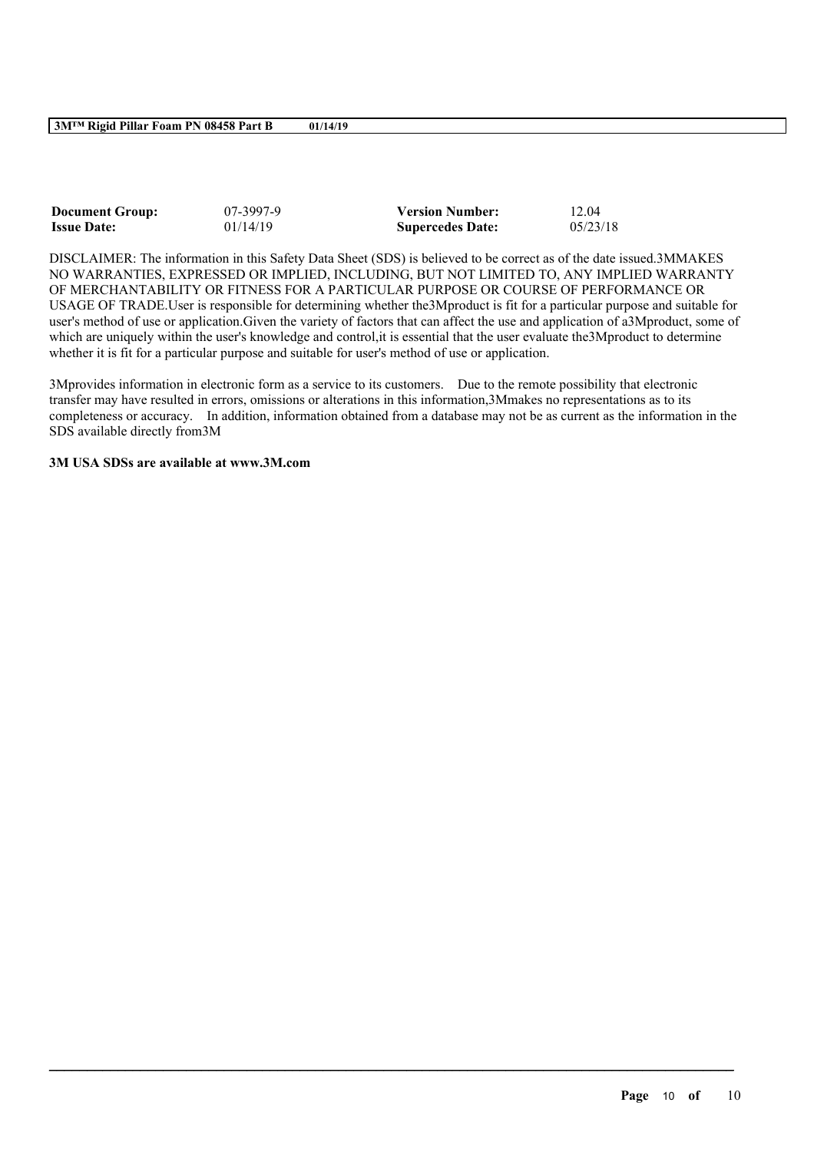**3M™ Rigid Pillar Foam PN 08458 Part B 01/14/19**

| <b>Document Group:</b> | 07-3997-9 | <b>Version Number:</b>  | 12.04    |
|------------------------|-----------|-------------------------|----------|
| <b>Issue Date:</b>     | 01/14/19  | <b>Supercedes Date:</b> | 05/23/18 |

DISCLAIMER: The information in this Safety Data Sheet (SDS) is believed to be correct as of the date issued.3MMAKES NO WARRANTIES, EXPRESSED OR IMPLIED, INCLUDING, BUT NOT LIMITED TO, ANY IMPLIED WARRANTY OF MERCHANTABILITY OR FITNESS FOR A PARTICULAR PURPOSE OR COURSE OF PERFORMANCE OR USAGE OF TRADE.User is responsible for determining whether the3Mproduct is fit for a particular purpose and suitable for user's method of use or application.Given the variety of factors that can affect the use and application of a3Mproduct, some of which are uniquely within the user's knowledge and control, it is essential that the user evaluate the3Mproduct to determine whether it is fit for a particular purpose and suitable for user's method of use or application.

3Mprovides information in electronic form as a service to its customers. Due to the remote possibility that electronic transfer may have resulted in errors, omissions or alterations in this information,3Mmakes no representations as to its completeness or accuracy. In addition, information obtained from a database may not be as current as the information in the SDS available directly from3M

 $\mathcal{L}_\mathcal{L} = \mathcal{L}_\mathcal{L} = \mathcal{L}_\mathcal{L} = \mathcal{L}_\mathcal{L} = \mathcal{L}_\mathcal{L} = \mathcal{L}_\mathcal{L} = \mathcal{L}_\mathcal{L} = \mathcal{L}_\mathcal{L} = \mathcal{L}_\mathcal{L} = \mathcal{L}_\mathcal{L} = \mathcal{L}_\mathcal{L} = \mathcal{L}_\mathcal{L} = \mathcal{L}_\mathcal{L} = \mathcal{L}_\mathcal{L} = \mathcal{L}_\mathcal{L} = \mathcal{L}_\mathcal{L} = \mathcal{L}_\mathcal{L}$ 

## **3M USA SDSs are available at www.3M.com**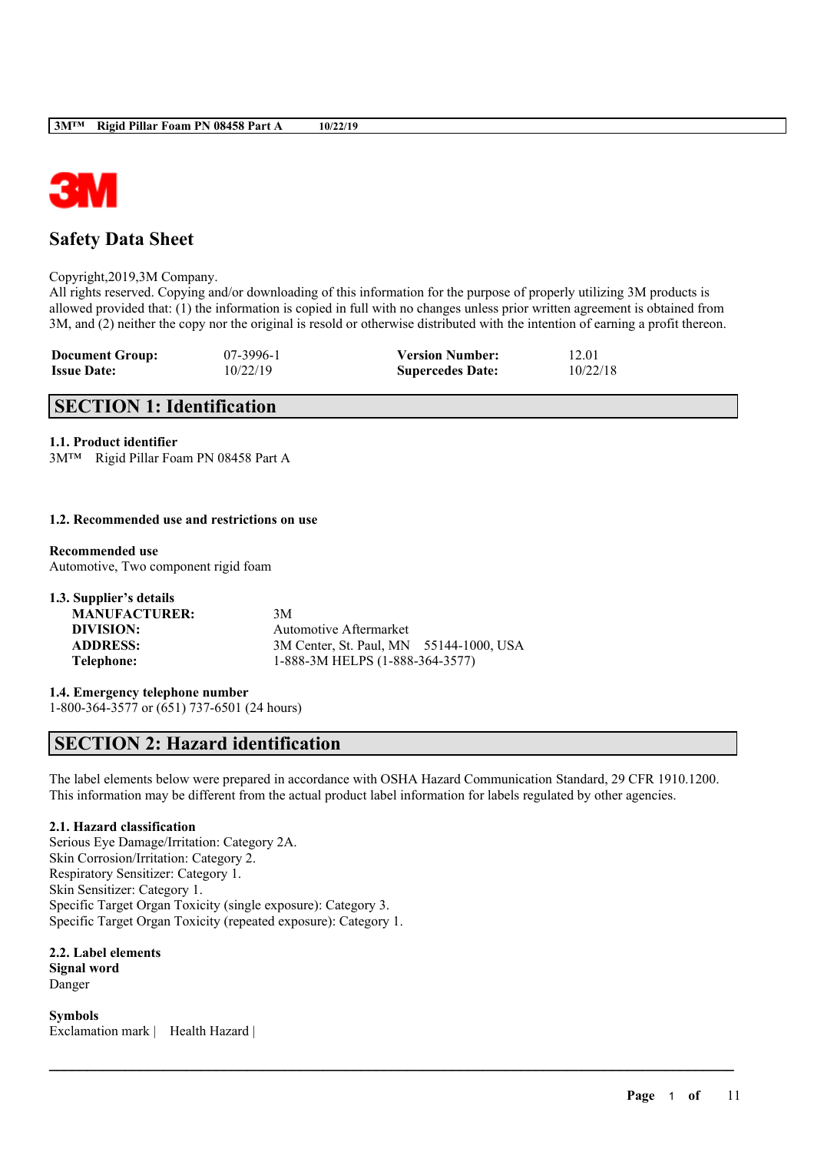

# **Safety Data Sheet**

Copyright,2019,3M Company.

All rights reserved. Copying and/or downloading of this information for the purpose of properly utilizing 3M products is allowed provided that: (1) the information is copied in full with no changes unless prior written agreement is obtained from 3M, and (2) neither the copy nor the original is resold or otherwise distributed with the intention of earning a profit thereon.

| <b>Document Group:</b> | 07-3996-1 | <b>Version Number:</b>  | 12.01    |
|------------------------|-----------|-------------------------|----------|
| <b>Issue Date:</b>     | 10/22/19  | <b>Supercedes Date:</b> | 10/22/18 |

# **SECTION 1: Identification**

### **1.1. Product identifier**

3M™ Rigid Pillar Foam PN 08458 Part A

### **1.2. Recommended use and restrictions on use**

#### **Recommended use**

Automotive, Two component rigid foam

| 1.3. Supplier's details |                                         |  |
|-------------------------|-----------------------------------------|--|
| <b>MANUFACTURER:</b>    | 3M                                      |  |
| DIVISION:               | Automotive Aftermarket                  |  |
| <b>ADDRESS:</b>         | 3M Center, St. Paul, MN 55144-1000, USA |  |
| Telephone:              | 1-888-3M HELPS (1-888-364-3577)         |  |

**1.4. Emergency telephone number**

1-800-364-3577 or (651) 737-6501 (24 hours)

# **SECTION 2: Hazard identification**

The label elements below were prepared in accordance with OSHA Hazard Communication Standard, 29 CFR 1910.1200. This information may be different from the actual product label information for labels regulated by other agencies.

 $\mathcal{L}_\mathcal{L} = \mathcal{L}_\mathcal{L} = \mathcal{L}_\mathcal{L} = \mathcal{L}_\mathcal{L} = \mathcal{L}_\mathcal{L} = \mathcal{L}_\mathcal{L} = \mathcal{L}_\mathcal{L} = \mathcal{L}_\mathcal{L} = \mathcal{L}_\mathcal{L} = \mathcal{L}_\mathcal{L} = \mathcal{L}_\mathcal{L} = \mathcal{L}_\mathcal{L} = \mathcal{L}_\mathcal{L} = \mathcal{L}_\mathcal{L} = \mathcal{L}_\mathcal{L} = \mathcal{L}_\mathcal{L} = \mathcal{L}_\mathcal{L}$ 

## **2.1. Hazard classification**

Serious Eye Damage/Irritation: Category 2A. Skin Corrosion/Irritation: Category 2. Respiratory Sensitizer: Category 1. Skin Sensitizer: Category 1. Specific Target Organ Toxicity (single exposure): Category 3. Specific Target Organ Toxicity (repeated exposure): Category 1.

**2.2. Label elements Signal word** Danger

**Symbols** Exclamation mark | Health Hazard |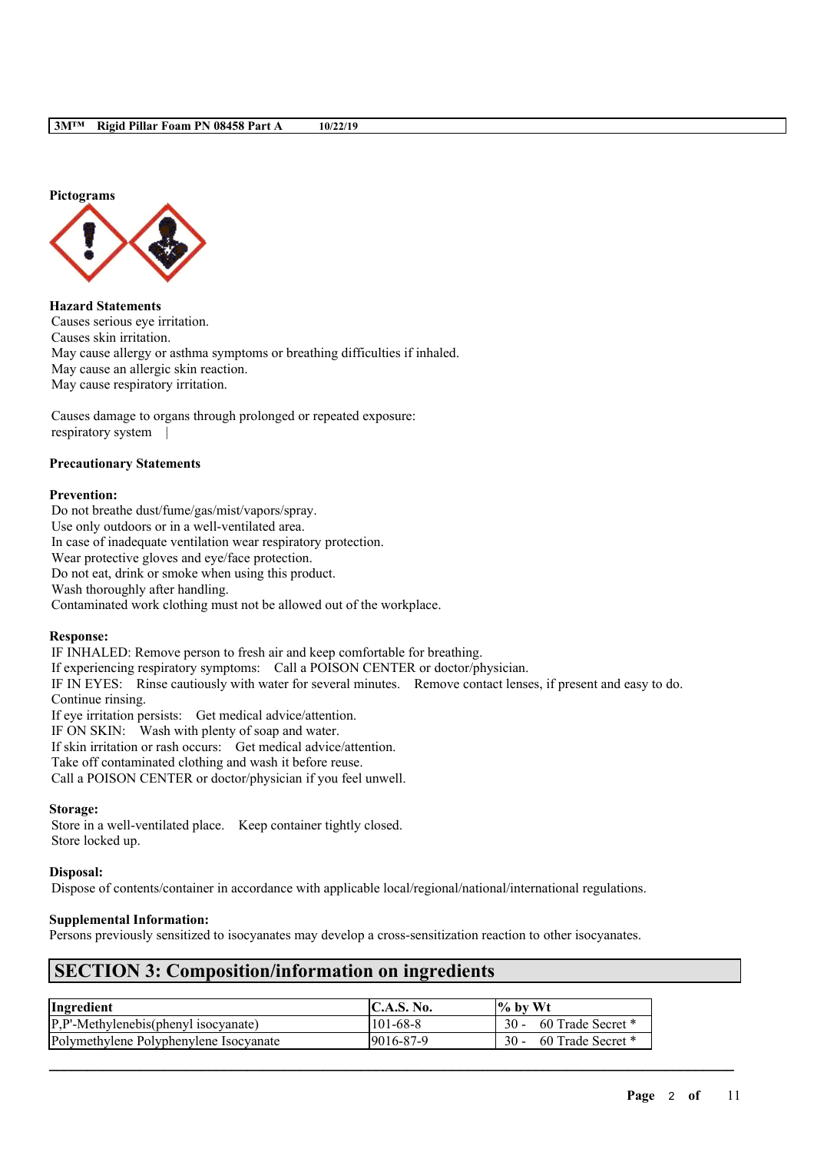

**Hazard Statements** Causes serious eye irritation. Causes skin irritation. May cause allergy or asthma symptoms or breathing difficulties if inhaled. May cause an allergic skin reaction. May cause respiratory irritation.

Causes damage to organs through prolonged or repeated exposure: respiratory system |

## **Precautionary Statements**

#### **Prevention:**

Do not breathe dust/fume/gas/mist/vapors/spray. Use only outdoors or in a well-ventilated area. In case of inadequate ventilation wear respiratory protection. Wear protective gloves and eye/face protection. Do not eat, drink or smoke when using this product. Wash thoroughly after handling.

Contaminated work clothing must not be allowed out of the workplace.

#### **Response:**

IF INHALED: Remove person to fresh air and keep comfortable for breathing. If experiencing respiratory symptoms: Call a POISON CENTER or doctor/physician. IF IN EYES: Rinse cautiously with water for several minutes. Remove contact lenses, if present and easy to do. Continue rinsing. If eye irritation persists: Get medical advice/attention. IF ON SKIN: Wash with plenty of soap and water.

If skin irritation or rash occurs: Get medical advice/attention.

Take off contaminated clothing and wash it before reuse.

Call a POISON CENTER or doctor/physician if you feel unwell.

### **Storage:**

Store in a well-ventilated place. Keep container tightly closed. Store locked up.

#### **Disposal:**

Dispose of contents/container in accordance with applicable local/regional/national/international regulations.

## **Supplemental Information:**

Persons previously sensitized to isocyanates may develop a cross-sensitization reaction to other isocyanates.

## **SECTION 3: Composition/information on ingredients**

| Ingredient                                      | <b>IC.A.S. No.</b> | $\frac{1}{6}$ by Wt    |
|-------------------------------------------------|--------------------|------------------------|
| $[P, P'-Method$ Methylenebis(phenyl isocyanate) | 101-68-8           | 30 - 60 Trade Secret * |
| Polymethylene Polyphenylene Isocyanate          | 9016-87-9          | 30 - 60 Trade Secret * |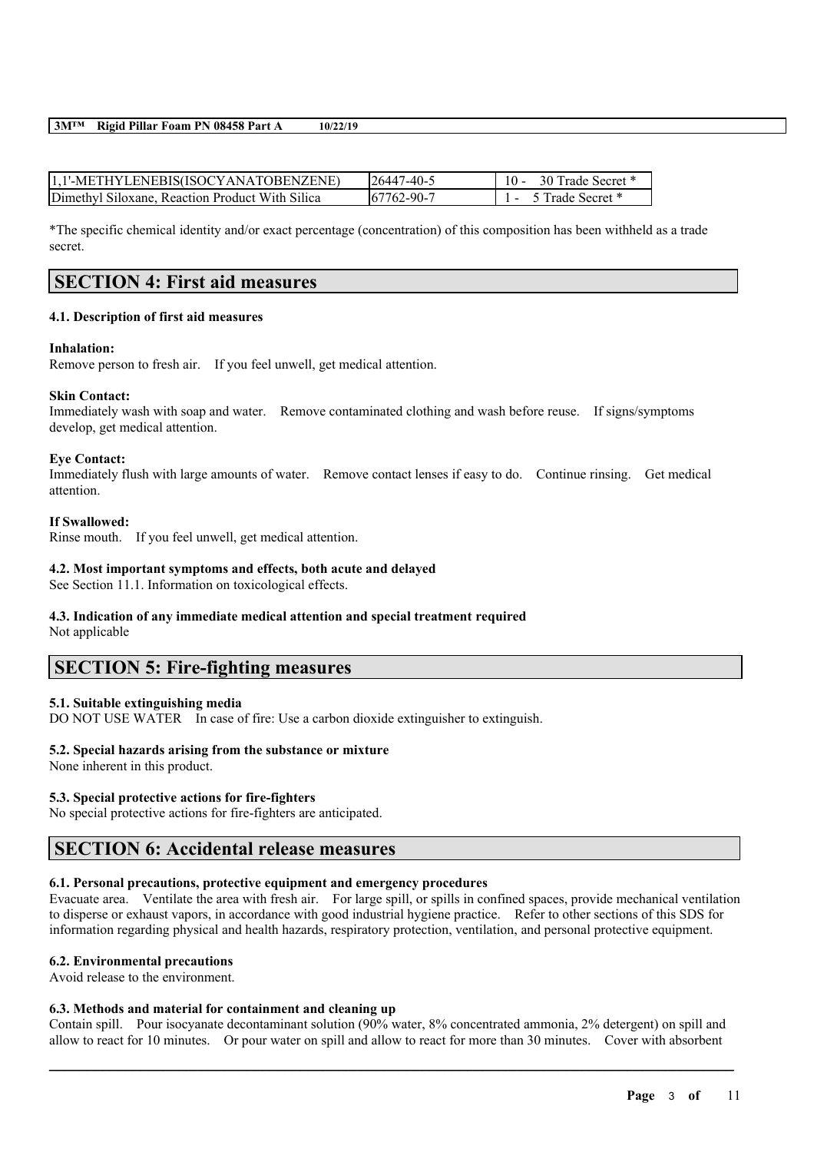**3M™ Rigid Pillar Foam PN 08458 Part A 10/22/19**

| 1.1'-METHYLENEBIS(ISOCYANATOBENZENE)            | 126447-40-5       | 30 Trade Secret *<br>$10 -$ |
|-------------------------------------------------|-------------------|-----------------------------|
| Dimethyl Siloxane, Reaction Product With Silica | $167762 - 90 - 7$ | Trade Secret *              |

\*The specific chemical identity and/or exact percentage (concentration) of this composition has been withheld as a trade secret.

## **SECTION 4: First aid measures**

## **4.1. Description of first aid measures**

## **Inhalation:**

Remove person to fresh air. If you feel unwell, get medical attention.

## **Skin Contact:**

Immediately wash with soap and water. Remove contaminated clothing and wash before reuse. If signs/symptoms develop, get medical attention.

### **Eye Contact:**

Immediately flush with large amounts of water. Remove contact lenses if easy to do. Continue rinsing. Get medical attention.

### **If Swallowed:**

Rinse mouth. If you feel unwell, get medical attention.

## **4.2. Most important symptoms and effects, both acute and delayed**

See Section 11.1. Information on toxicological effects.

## **4.3. Indication of any immediate medical attention and special treatment required**

Not applicable

## **SECTION 5: Fire-fighting measures**

## **5.1. Suitable extinguishing media**

DO NOT USE WATER In case of fire: Use a carbon dioxide extinguisher to extinguish.

## **5.2. Special hazards arising from the substance or mixture**

None inherent in this product.

## **5.3. Special protective actions for fire-fighters**

No special protective actions for fire-fighters are anticipated.

## **SECTION 6: Accidental release measures**

## **6.1. Personal precautions, protective equipment and emergency procedures**

Evacuate area. Ventilate the area with fresh air. For large spill, or spills in confined spaces, provide mechanical ventilation to disperse or exhaust vapors, in accordance with good industrial hygiene practice. Refer to other sections of this SDS for information regarding physical and health hazards, respiratory protection, ventilation, and personal protective equipment.

## **6.2. Environmental precautions**

Avoid release to the environment.

## **6.3. Methods and material for containment and cleaning up**

Contain spill. Pour isocyanate decontaminant solution (90% water, 8% concentrated ammonia, 2% detergent) on spill and allow to react for 10 minutes. Or pour water on spill and allow to react for more than 30 minutes. Cover with absorbent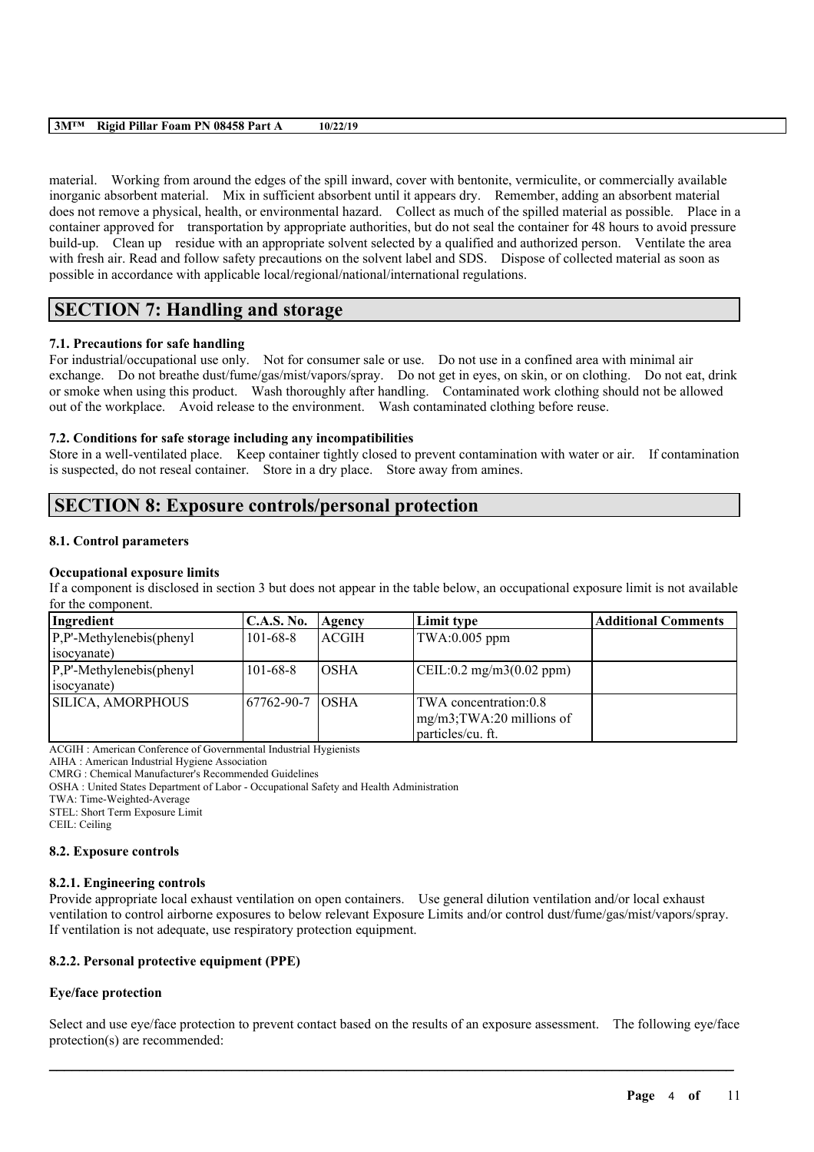#### **3M™ Rigid Pillar Foam PN 08458 Part A 10/22/19**

material. Working from around the edges of the spill inward, cover with bentonite, vermiculite, or commercially available inorganic absorbent material. Mix in sufficient absorbent until it appears dry. Remember, adding an absorbent material does not remove a physical, health, or environmental hazard. Collect as much of the spilled material as possible. Place in a container approved for transportation by appropriate authorities, but do not seal the container for 48 hours to avoid pressure build-up. Clean up residue with an appropriate solvent selected by a qualified and authorized person. Ventilate the area with fresh air. Read and follow safety precautions on the solvent label and SDS. Dispose of collected material as soon as possible in accordance with applicable local/regional/national/international regulations.

# **SECTION 7: Handling and storage**

## **7.1. Precautions for safe handling**

For industrial/occupational use only. Not for consumer sale or use. Do not use in a confined area with minimal air exchange. Do not breathe dust/fume/gas/mist/vapors/spray. Do not get in eyes, on skin, or on clothing. Do not eat, drink or smoke when using this product. Wash thoroughly after handling. Contaminated work clothing should not be allowed out of the workplace. Avoid release to the environment. Wash contaminated clothing before reuse.

## **7.2. Conditions for safe storage including any incompatibilities**

Store in a well-ventilated place. Keep container tightly closed to prevent contamination with water or air. If contamination is suspected, do not reseal container. Store in a dry place. Store away from amines.

## **SECTION 8: Exposure controls/personal protection**

## **8.1. Control parameters**

### **Occupational exposure limits**

If a component is disclosed in section 3 but does not appear in the table below, an occupational exposure limit is not available for the component.

| Ingredient                  | <b>C.A.S. No.</b> | Agency       | Limit type                                        | <b>Additional Comments</b> |
|-----------------------------|-------------------|--------------|---------------------------------------------------|----------------------------|
| $P.P'$ -Methylenebis(phenyl | $101 - 68 - 8$    | <b>ACGIH</b> | $TWA:0.005$ ppm                                   |                            |
| isocyanate)                 |                   |              |                                                   |                            |
| $P.P'$ -Methylenebis(phenyl | $101 - 68 - 8$    | IOSHA        | $\text{CEIL}:0.2 \text{ mg/m}3(0.02 \text{ ppm})$ |                            |
| isocyanate)                 |                   |              |                                                   |                            |
| SILICA, AMORPHOUS           | 67762-90-7        | <b>TOSHA</b> | TWA concentration:0.8                             |                            |
|                             |                   |              | mg/m3;TWA:20 millions of                          |                            |
|                             |                   |              | particles/cu. ft.                                 |                            |

ACGIH : American Conference of Governmental Industrial Hygienists

AIHA : American Industrial Hygiene Association

CMRG : Chemical Manufacturer's Recommended Guidelines

OSHA : United States Department of Labor - Occupational Safety and Health Administration

TWA: Time-Weighted-Average

STEL: Short Term Exposure Limit

CEIL: Ceiling

#### **8.2. Exposure controls**

## **8.2.1. Engineering controls**

Provide appropriate local exhaust ventilation on open containers. Use general dilution ventilation and/or local exhaust ventilation to control airborne exposures to below relevant Exposure Limits and/or control dust/fume/gas/mist/vapors/spray. If ventilation is not adequate, use respiratory protection equipment.

## **8.2.2. Personal protective equipment (PPE)**

## **Eye/face protection**

Select and use eye/face protection to prevent contact based on the results of an exposure assessment. The following eye/face protection(s) are recommended: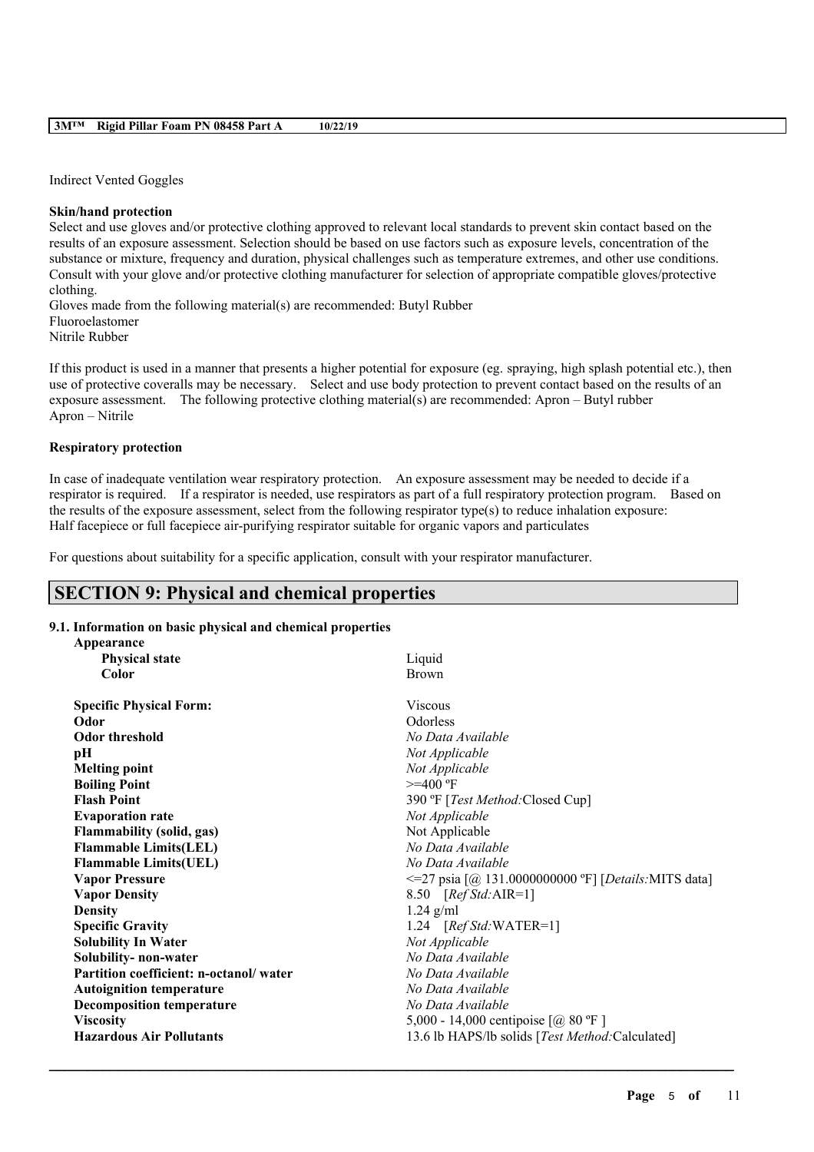Indirect Vented Goggles

### **Skin/hand protection**

Select and use gloves and/or protective clothing approved to relevant local standards to prevent skin contact based on the results of an exposure assessment. Selection should be based on use factors such as exposure levels, concentration of the substance or mixture, frequency and duration, physical challenges such as temperature extremes, and other use conditions. Consult with your glove and/or protective clothing manufacturer for selection of appropriate compatible gloves/protective clothing.

Gloves made from the following material(s) are recommended: Butyl Rubber Fluoroelastomer Nitrile Rubber

If this product is used in a manner that presents a higher potential for exposure (eg. spraying, high splash potential etc.), then use of protective coveralls may be necessary. Select and use body protection to prevent contact based on the results of an exposure assessment. The following protective clothing material(s) are recommended: Apron – Butyl rubber Apron – Nitrile

### **Respiratory protection**

In case of inadequate ventilation wear respiratory protection. An exposure assessment may be needed to decide if a respirator is required. If a respirator is needed, use respirators as part of a full respiratory protection program. Based on the results of the exposure assessment, select from the following respirator type(s) to reduce inhalation exposure: Half facepiece or full facepiece air-purifying respirator suitable for organic vapors and particulates

For questions about suitability for a specific application, consult with your respirator manufacturer.

## **SECTION 9: Physical and chemical properties**

## **9.1. Information on basic physical and chemical properties**

| Appearance                             |                                                           |
|----------------------------------------|-----------------------------------------------------------|
| <b>Physical state</b>                  | Liquid                                                    |
| Color                                  | <b>Brown</b>                                              |
| <b>Specific Physical Form:</b>         | <b>Viscous</b>                                            |
| Odor                                   | Odorless                                                  |
| <b>Odor threshold</b>                  | No Data Available                                         |
| pH                                     | Not Applicable                                            |
| <b>Melting point</b>                   | Not Applicable                                            |
| <b>Boiling Point</b>                   | $>=$ 400 $\textdegree$ F                                  |
| <b>Flash Point</b>                     | 390 °F [Test Method: Closed Cup]                          |
| <b>Evaporation rate</b>                | Not Applicable                                            |
| <b>Flammability (solid, gas)</b>       | Not Applicable                                            |
| <b>Flammable Limits(LEL)</b>           | No Data Available                                         |
| <b>Flammable Limits(UEL)</b>           | No Data Available                                         |
| <b>Vapor Pressure</b>                  | $\leq$ 27 psia [@ 131.0000000000 °F] [Details: MITS data] |
| <b>Vapor Density</b>                   | 8.50 $[RefStd:AIR=1]$                                     |
| <b>Density</b>                         | $1.24$ g/ml                                               |
| <b>Specific Gravity</b>                | 1.24 $[RefStd:WATER=1]$                                   |
| <b>Solubility In Water</b>             | Not Applicable                                            |
| Solubility- non-water                  | No Data Available                                         |
| Partition coefficient: n-octanol/water | No Data Available                                         |
| <b>Autoignition temperature</b>        | No Data Available                                         |
| <b>Decomposition temperature</b>       | No Data Available                                         |
| <b>Viscosity</b>                       | 5,000 - 14,000 centipoise $[@, 80$ °F ]                   |
| <b>Hazardous Air Pollutants</b>        | 13.6 lb HAPS/lb solids [Test Method:Calculated]           |
|                                        |                                                           |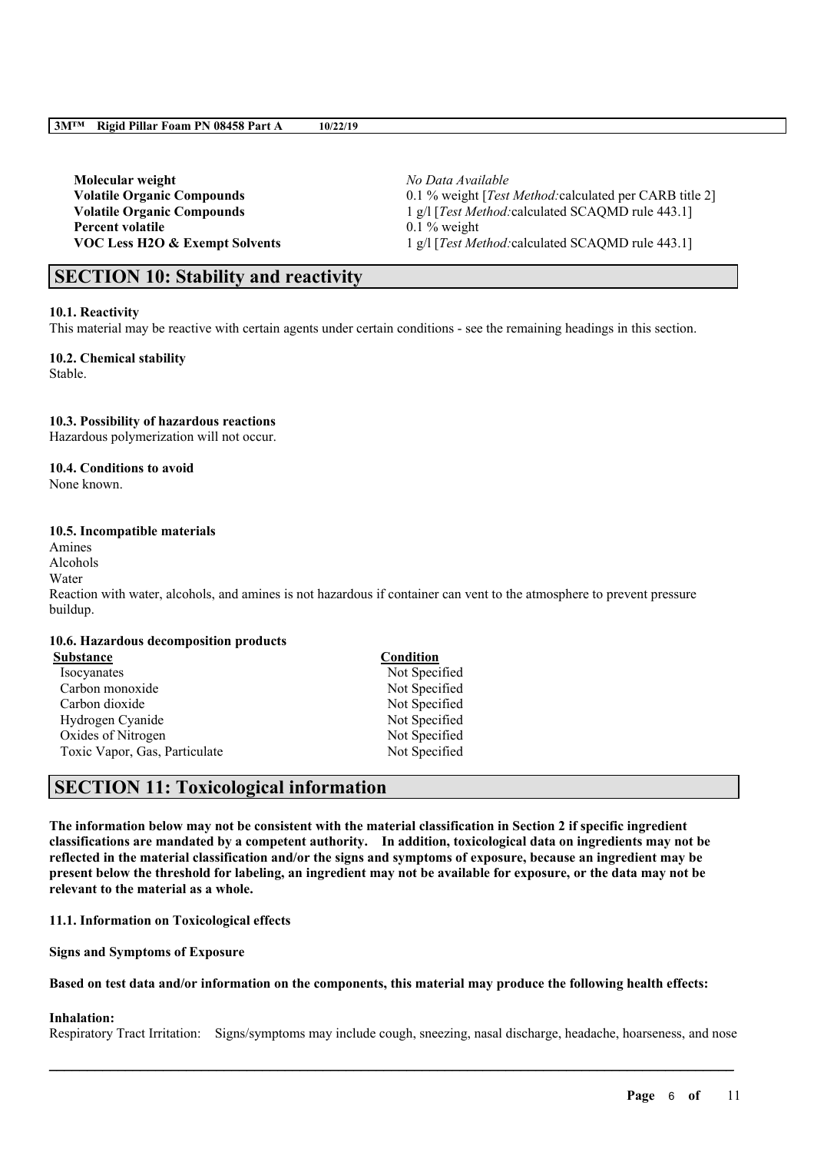**Molecular weight** *No Data Available* **Percent volatile** 0.1 % weight

**Volatile Organic Compounds** 0.1 % weight [*Test Method:*calculated per CARB title 2] **Volatile Organic Compounds** 1 g/l [*Test Method:*calculated SCAQMD rule 443.1] **VOC Less H2O & Exempt Solvents** 1 g/l [*Test Method:*calculated SCAQMD rule 443.1]

## **SECTION 10: Stability and reactivity**

#### **10.1. Reactivity**

This material may be reactive with certain agents under certain conditions - see the remaining headings in this section.

**10.2. Chemical stability** Stable.

#### **10.3. Possibility of hazardous reactions**

Hazardous polymerization will not occur.

### **10.4. Conditions to avoid**

None known.

### **10.5. Incompatible materials**

Amines Alcohols Water Reaction with water, alcohols, and amines is not hazardous if container can vent to the atmosphere to prevent pressure buildup.

#### **10.6. Hazardous decomposition products**

| Substance                     | Condition     |
|-------------------------------|---------------|
| <b>Isocvanates</b>            | Not Specified |
| Carbon monoxide               | Not Specified |
| Carbon dioxide                | Not Specified |
| Hydrogen Cyanide              | Not Specified |
| Oxides of Nitrogen            | Not Specified |
| Toxic Vapor, Gas, Particulate | Not Specified |

## **SECTION 11: Toxicological information**

The information below may not be consistent with the material classification in Section 2 if specific ingredient **classifications are mandated by a competent authority. In addition, toxicological data on ingredients may not be** reflected in the material classification and/or the signs and symptoms of exposure, because an ingredient may be present below the threshold for labeling, an ingredient may not be available for exposure, or the data may not be **relevant to the material as a whole.**

## **11.1. Information on Toxicological effects**

**Signs and Symptoms of Exposure**

### Based on test data and/or information on the components, this material may produce the following health effects:

## **Inhalation:**

Respiratory Tract Irritation: Signs/symptoms may include cough, sneezing, nasal discharge, headache, hoarseness, and nose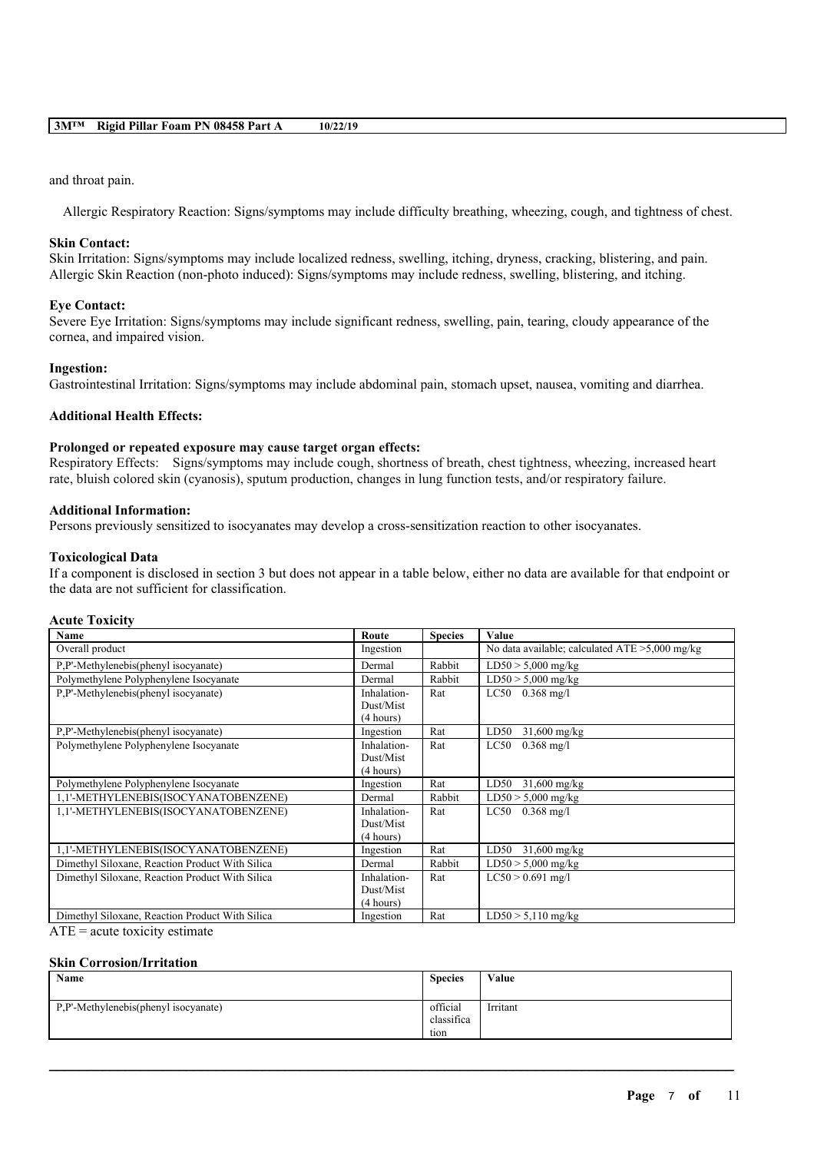#### and throat pain.

Allergic Respiratory Reaction: Signs/symptoms may include difficulty breathing, wheezing, cough, and tightness of chest.

#### **Skin Contact:**

Skin Irritation: Signs/symptoms may include localized redness, swelling, itching, dryness, cracking, blistering, and pain. Allergic Skin Reaction (non-photo induced): Signs/symptoms may include redness, swelling, blistering, and itching.

#### **Eye Contact:**

Severe Eye Irritation: Signs/symptoms may include significant redness, swelling, pain, tearing, cloudy appearance of the cornea, and impaired vision.

#### **Ingestion:**

Gastrointestinal Irritation: Signs/symptoms may include abdominal pain, stomach upset, nausea, vomiting and diarrhea.

### **Additional Health Effects:**

## **Prolonged or repeated exposure may cause target organ effects:**

Respiratory Effects: Signs/symptoms may include cough, shortness of breath, chest tightness, wheezing, increased heart rate, bluish colored skin (cyanosis), sputum production, changes in lung function tests, and/or respiratory failure.

#### **Additional Information:**

Persons previously sensitized to isocyanates may develop a cross-sensitization reaction to other isocyanates.

#### **Toxicological Data**

If a component is disclosed in section 3 but does not appear in a table below, either no data are available for that endpoint or the data are not sufficient for classification.

## **Acute Toxicity**

| Name                                            | Route                  | <b>Species</b> | Value                                             |
|-------------------------------------------------|------------------------|----------------|---------------------------------------------------|
| Overall product                                 | Ingestion              |                | No data available; calculated $ATE > 5,000$ mg/kg |
| P,P'-Methylenebis(phenyl isocyanate)            | Dermal                 | Rabbit         | $LD50 > 5,000$ mg/kg                              |
| Polymethylene Polyphenylene Isocyanate          | Dermal                 | Rabbit         | $LD50 > 5,000$ mg/kg                              |
| P.P'-Methylenebis(phenyl isocyanate)            | Inhalation-            | Rat            | $LC50$ 0.368 mg/l                                 |
|                                                 | Dust/Mist<br>(4 hours) |                |                                                   |
| P.P'-Methylenebis(phenyl isocyanate)            | Ingestion              | Rat            | $31,600$ mg/kg<br>LD50                            |
| Polymethylene Polyphenylene Isocyanate          | Inhalation-            | Rat            | LC50<br>$0.368$ mg/l                              |
|                                                 | Dust/Mist              |                |                                                   |
|                                                 | (4 hours)              |                |                                                   |
| Polymethylene Polyphenylene Isocyanate          | Ingestion              | Rat            | LD50<br>$31,600$ mg/kg                            |
| 1,1'-METHYLENEBIS(ISOCYANATOBENZENE)            | Dermal                 | Rabbit         | $LD50 > 5,000$ mg/kg                              |
| 1,1'-METHYLENEBIS(ISOCYANATOBENZENE)            | Inhalation-            | Rat            | LC50<br>$0.368 \text{ mg/l}$                      |
|                                                 | Dust/Mist              |                |                                                   |
|                                                 | (4 hours)              |                |                                                   |
| 1,1'-METHYLENEBIS(ISOCYANATOBENZENE)            | Ingestion              | Rat            | LD50<br>$31,600 \text{ mg/kg}$                    |
| Dimethyl Siloxane, Reaction Product With Silica | Dermal                 | Rabbit         | $LD50 > 5,000$ mg/kg                              |
| Dimethyl Siloxane, Reaction Product With Silica | Inhalation-            | Rat            | $LC50 > 0.691$ mg/l                               |
|                                                 | Dust/Mist              |                |                                                   |
|                                                 | (4 hours)              |                |                                                   |
| Dimethyl Siloxane, Reaction Product With Silica | Ingestion              | Rat            | $LD50 > 5,110$ mg/kg                              |

 $ATE = acute$  toxicity estimate

#### **Skin Corrosion/Irritation**

| Name                                 | <b>Species</b>                 | Value    |
|--------------------------------------|--------------------------------|----------|
| P,P'-Methylenebis(phenyl isocyanate) | official<br>classifica<br>tion | Irritant |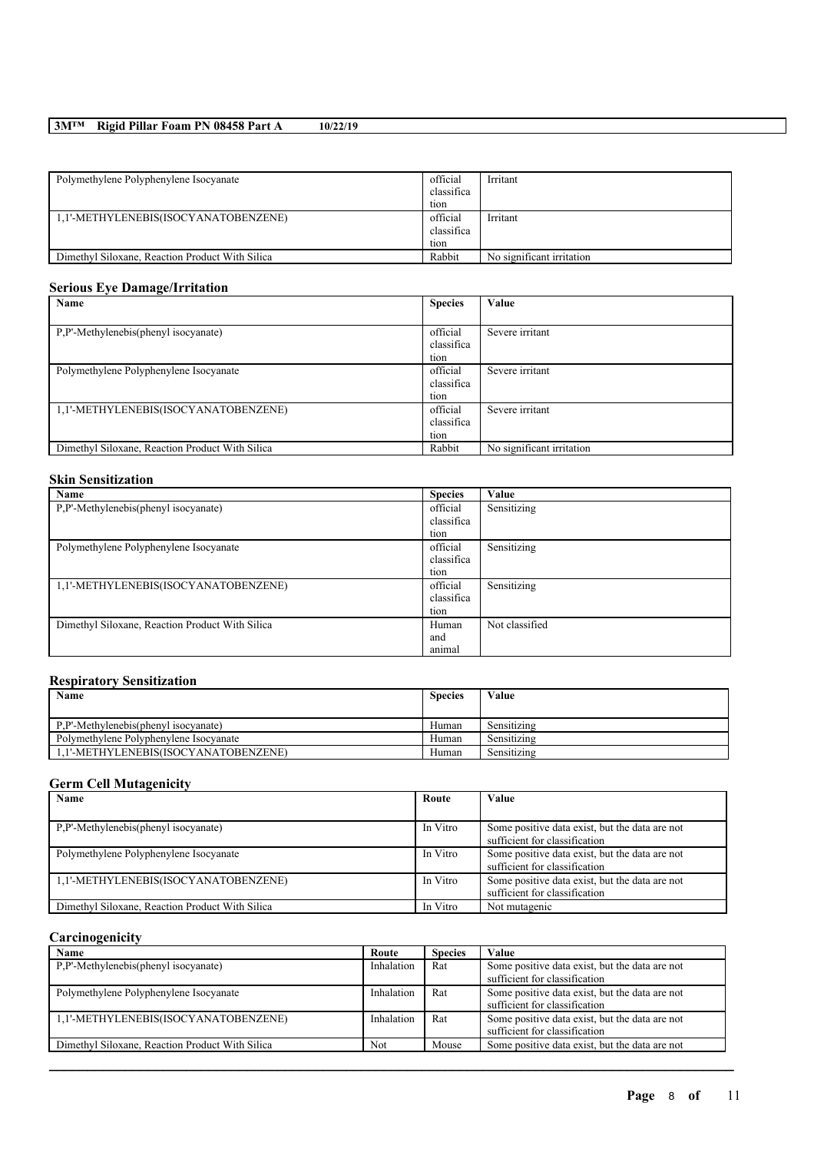# **3M™ Rigid Pillar Foam PN 08458 Part A 10/22/19**

| Polymethylene Polyphenylene Isocyanate          | official<br>classifica | Irritant                  |
|-------------------------------------------------|------------------------|---------------------------|
|                                                 | tion                   |                           |
| 1,1'-METHYLENEBIS(ISOCYANATOBENZENE)            | official               | Irritant                  |
|                                                 | classifica             |                           |
|                                                 | tion                   |                           |
| Dimethyl Siloxane, Reaction Product With Silica | Rabbit                 | No significant irritation |

## **Serious Eye Damage/Irritation**

| Name                                            | <b>Species</b> | Value                     |
|-------------------------------------------------|----------------|---------------------------|
|                                                 |                |                           |
| P.P'-Methylenebis(phenyl isocyanate)            | official       | Severe irritant           |
|                                                 | classifica     |                           |
|                                                 | tion           |                           |
| Polymethylene Polyphenylene Isocyanate          | official       | Severe irritant           |
|                                                 | classifica     |                           |
|                                                 | tion           |                           |
| 1,1'-METHYLENEBIS(ISOCYANATOBENZENE)            | official       | Severe irritant           |
|                                                 | classifica     |                           |
|                                                 | tion           |                           |
| Dimethyl Siloxane, Reaction Product With Silica | Rabbit         | No significant irritation |

## **Skin Sensitization**

| Name                                            | <b>Species</b> | Value          |
|-------------------------------------------------|----------------|----------------|
| P.P'-Methylenebis(phenyl isocyanate)            | official       | Sensitizing    |
|                                                 | classifica     |                |
|                                                 | tion           |                |
| Polymethylene Polyphenylene Isocyanate          | official       | Sensitizing    |
|                                                 | classifica     |                |
|                                                 | tion           |                |
| 1,1'-METHYLENEBIS(ISOCYANATOBENZENE)            | official       | Sensitizing    |
|                                                 | classifica     |                |
|                                                 | tion           |                |
| Dimethyl Siloxane, Reaction Product With Silica | Human          | Not classified |
|                                                 | and            |                |
|                                                 | animal         |                |

## **Respiratory Sensitization**

| Name                                   | <b>Species</b> | Value       |
|----------------------------------------|----------------|-------------|
| P.P'-Methylenebis(phenyl isocvanate)   | Human          | Sensitizing |
| Polymethylene Polyphenylene Isocyanate | Human          | Sensitizing |
| 1.1'-METHYLENEBIS(ISOCYANATOBENZENE)   | Human          | Sensitizing |

## **Germ Cell Mutagenicity**

| Name                                            | Route    | Value                                          |
|-------------------------------------------------|----------|------------------------------------------------|
|                                                 |          |                                                |
| P.P'-Methylenebis(phenyl isocyanate)            | In Vitro | Some positive data exist, but the data are not |
|                                                 |          | sufficient for classification                  |
| Polymethylene Polyphenylene Isocyanate          | In Vitro | Some positive data exist, but the data are not |
|                                                 |          | sufficient for classification                  |
| 1,1'-METHYLENEBIS(ISOCYANATOBENZENE)            | In Vitro | Some positive data exist, but the data are not |
|                                                 |          | sufficient for classification                  |
| Dimethyl Siloxane, Reaction Product With Silica | In Vitro | Not mutagenic                                  |

## **Carcinogenicity**

| Name                                            | Route      | <b>Species</b> | Value                                          |
|-------------------------------------------------|------------|----------------|------------------------------------------------|
| P.P'-Methylenebis(phenyl isocyanate)            | Inhalation | Rat            | Some positive data exist, but the data are not |
|                                                 |            |                | sufficient for classification                  |
| Polymethylene Polyphenylene Isocyanate          | Inhalation | Rat            | Some positive data exist, but the data are not |
|                                                 |            |                | sufficient for classification                  |
| 1,1'-METHYLENEBIS(ISOCYANATOBENZENE)            | Inhalation | Rat            | Some positive data exist, but the data are not |
|                                                 |            |                | sufficient for classification                  |
| Dimethyl Siloxane, Reaction Product With Silica | Not        | Mouse          | Some positive data exist, but the data are not |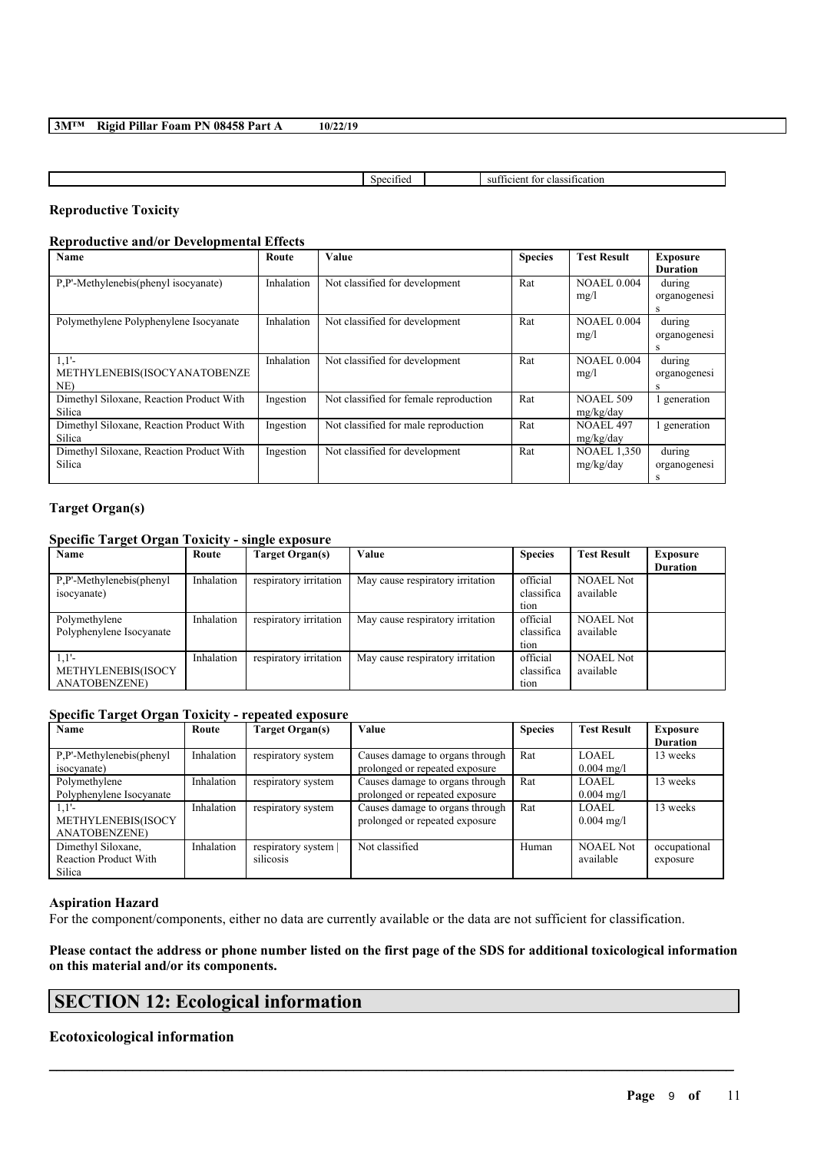|  | 3MTM Rigid Pillar Foam PN 08458 Part A | 10/22/19 |
|--|----------------------------------------|----------|
|--|----------------------------------------|----------|

| . | non<br>нэ<br>м<br><br>15.LL<br>``<br>.<br>____<br>. |
|---|-----------------------------------------------------|
|   |                                                     |

## **Reproductive Toxicity**

## **Reproductive and/or Developmental Effects**

| Name                                               | Route      | Value                                  | <b>Species</b> | <b>Test Result</b>              | <b>Exposure</b><br><b>Duration</b> |
|----------------------------------------------------|------------|----------------------------------------|----------------|---------------------------------|------------------------------------|
| P.P'-Methylenebis(phenyl isocyanate)               | Inhalation | Not classified for development         | Rat            | <b>NOAEL 0.004</b><br>mg/l      | during<br>organogenesi<br>s        |
| Polymethylene Polyphenylene Isocyanate             | Inhalation | Not classified for development         | Rat            | <b>NOAEL 0.004</b><br>mg/l      | during<br>organogenesi             |
| $1,1'-$<br>METHYLENEBIS(ISOCYANATOBENZE<br>NE)     | Inhalation | Not classified for development         | Rat            | <b>NOAEL 0.004</b><br>mg/l      | during<br>organogenesi<br>s        |
| Dimethyl Siloxane, Reaction Product With<br>Silica | Ingestion  | Not classified for female reproduction | Rat            | <b>NOAEL 509</b><br>mg/kg/day   | generation                         |
| Dimethyl Siloxane, Reaction Product With<br>Silica | Ingestion  | Not classified for male reproduction   | Rat            | <b>NOAEL 497</b><br>mg/kg/day   | generation                         |
| Dimethyl Siloxane, Reaction Product With<br>Silica | Ingestion  | Not classified for development         | Rat            | <b>NOAEL 1,350</b><br>mg/kg/day | during<br>organogenesi             |

## **Target Organ(s)**

## **Specific Target Organ Toxicity - single exposure**

| Name                     | Route      | Target Organ(s)        | Value                            | <b>Species</b> | <b>Test Result</b> | Exposure        |
|--------------------------|------------|------------------------|----------------------------------|----------------|--------------------|-----------------|
|                          |            |                        |                                  |                |                    | <b>Duration</b> |
| P.P'-Methylenebis(phenyl | Inhalation | respiratory irritation | May cause respiratory irritation | official       | <b>NOAEL Not</b>   |                 |
| isocyanate)              |            |                        |                                  | classifica     | available          |                 |
|                          |            |                        |                                  | tion           |                    |                 |
| Polymethylene            | Inhalation | respiratory irritation | May cause respiratory irritation | official       | <b>NOAEL Not</b>   |                 |
| Polyphenylene Isocyanate |            |                        |                                  | classifica     | available          |                 |
|                          |            |                        |                                  | tion           |                    |                 |
| $1,1'-$                  | Inhalation | respiratory irritation | May cause respiratory irritation | official       | <b>NOAEL Not</b>   |                 |
| METHYLENEBIS(ISOCY       |            |                        |                                  | classifica     | available          |                 |
| <b>ANATOBENZENE</b> )    |            |                        |                                  | tion           |                    |                 |

## **Specific Target Organ Toxicity - repeated exposure**

| Name                         | Route      | Target Organ(s)    | Value                           | <b>Species</b> | <b>Test Result</b>   | <b>Exposure</b> |
|------------------------------|------------|--------------------|---------------------------------|----------------|----------------------|-----------------|
|                              |            |                    |                                 |                |                      | <b>Duration</b> |
| P.P'-Methylenebis(phenyl     | Inhalation | respiratory system | Causes damage to organs through | Rat            | LOAEL                | 13 weeks        |
| isocyanate)                  |            |                    | prolonged or repeated exposure  |                | $0.004 \text{ mg/l}$ |                 |
| Polymethylene                | Inhalation | respiratory system | Causes damage to organs through | Rat            | <b>LOAEL</b>         | 13 weeks        |
| Polyphenylene Isocyanate     |            |                    | prolonged or repeated exposure  |                | $0.004 \text{ mg/l}$ |                 |
| $1.1'$ -                     | Inhalation | respiratory system | Causes damage to organs through | Rat            | LOAEL                | 13 weeks        |
| METHYLENEBIS(ISOCY           |            |                    | prolonged or repeated exposure  |                | $0.004 \text{ mg/l}$ |                 |
| <b>ANATOBENZENE)</b>         |            |                    |                                 |                |                      |                 |
| Dimethyl Siloxane,           | Inhalation | respiratory system | Not classified                  | Human          | <b>NOAEL Not</b>     | occupational    |
| <b>Reaction Product With</b> |            | silicosis          |                                 |                | available            | exposure        |
| Silica                       |            |                    |                                 |                |                      |                 |

#### **Aspiration Hazard**

For the component/components, either no data are currently available or the data are not sufficient for classification.

Please contact the address or phone number listed on the first page of the SDS for additional toxicological information **on this material and/or its components.**

 $\mathcal{L}_\mathcal{L} = \mathcal{L}_\mathcal{L} = \mathcal{L}_\mathcal{L} = \mathcal{L}_\mathcal{L} = \mathcal{L}_\mathcal{L} = \mathcal{L}_\mathcal{L} = \mathcal{L}_\mathcal{L} = \mathcal{L}_\mathcal{L} = \mathcal{L}_\mathcal{L} = \mathcal{L}_\mathcal{L} = \mathcal{L}_\mathcal{L} = \mathcal{L}_\mathcal{L} = \mathcal{L}_\mathcal{L} = \mathcal{L}_\mathcal{L} = \mathcal{L}_\mathcal{L} = \mathcal{L}_\mathcal{L} = \mathcal{L}_\mathcal{L}$ 

# **SECTION 12: Ecological information**

## **Ecotoxicological information**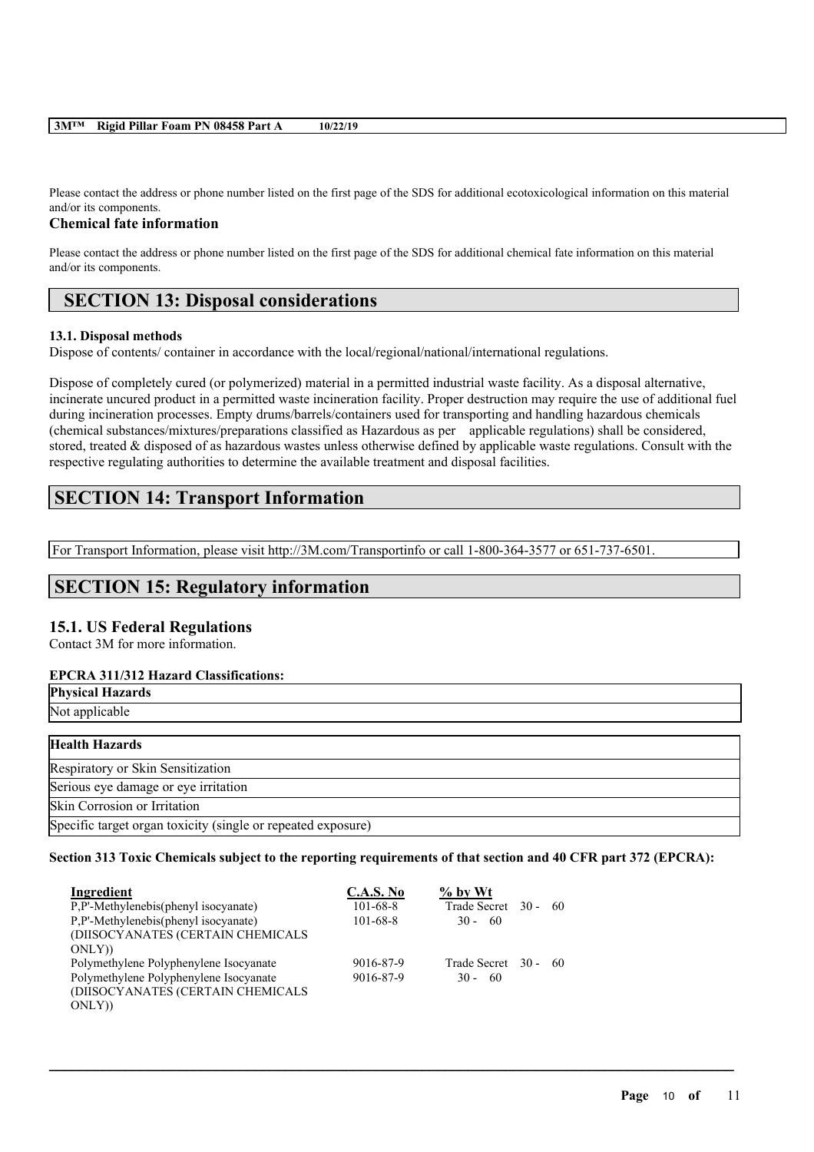### **3M™ Rigid Pillar Foam PN 08458 Part A 10/22/19**

Please contact the address or phone number listed on the first page of the SDS for additional ecotoxicological information on this material and/or its components.

### **Chemical fate information**

Please contact the address or phone number listed on the first page of the SDS for additional chemical fate information on this material and/or its components.

## **SECTION 13: Disposal considerations**

### **13.1. Disposal methods**

Dispose of contents/ container in accordance with the local/regional/national/international regulations.

Dispose of completely cured (or polymerized) material in a permitted industrial waste facility. As a disposal alternative, incinerate uncured product in a permitted waste incineration facility. Proper destruction may require the use of additional fuel during incineration processes. Empty drums/barrels/containers used for transporting and handling hazardous chemicals (chemical substances/mixtures/preparations classified as Hazardous as per applicable regulations) shall be considered, stored, treated & disposed of as hazardous wastes unless otherwise defined by applicable waste regulations. Consult with the respective regulating authorities to determine the available treatment and disposal facilities.

# **SECTION 14: Transport Information**

For Transport Information, please visit http://3M.com/Transportinfo or call 1-800-364-3577 or 651-737-6501.

## **SECTION 15: Regulatory information**

## **15.1. US Federal Regulations**

Contact 3M for more information.

## **EPCRA 311/312 Hazard Classifications:**

| <b>Physical Hazards</b>                                      |
|--------------------------------------------------------------|
| Not applicable                                               |
| <b>Health Hazards</b>                                        |
| Respiratory or Skin Sensitization                            |
| Serious eye damage or eye irritation                         |
| Skin Corrosion or Irritation                                 |
| Specific target organ toxicity (single or repeated exposure) |

## Section 313 Toxic Chemicals subject to the reporting requirements of that section and 40 CFR part 372 (EPCRA):

| Ingredient                             | <b>C.A.S. No</b> | $\%$ by Wt           |  |
|----------------------------------------|------------------|----------------------|--|
| P,P'-Methylenebis(phenyl isocyanate)   | $101 - 68 - 8$   | Trade Secret 30 - 60 |  |
| P,P'-Methylenebis(phenyl isocyanate)   | $101 - 68 - 8$   | $30 - 60$            |  |
| (DIISOCYANATES (CERTAIN CHEMICALS      |                  |                      |  |
| ONLY)                                  |                  |                      |  |
| Polymethylene Polyphenylene Isocyanate | 9016-87-9        | Trade Secret 30 - 60 |  |
| Polymethylene Polyphenylene Isocyanate | 9016-87-9        | $30 - 60$            |  |
| (DIISOCYANATES (CERTAIN CHEMICALS      |                  |                      |  |
| ONLY)                                  |                  |                      |  |